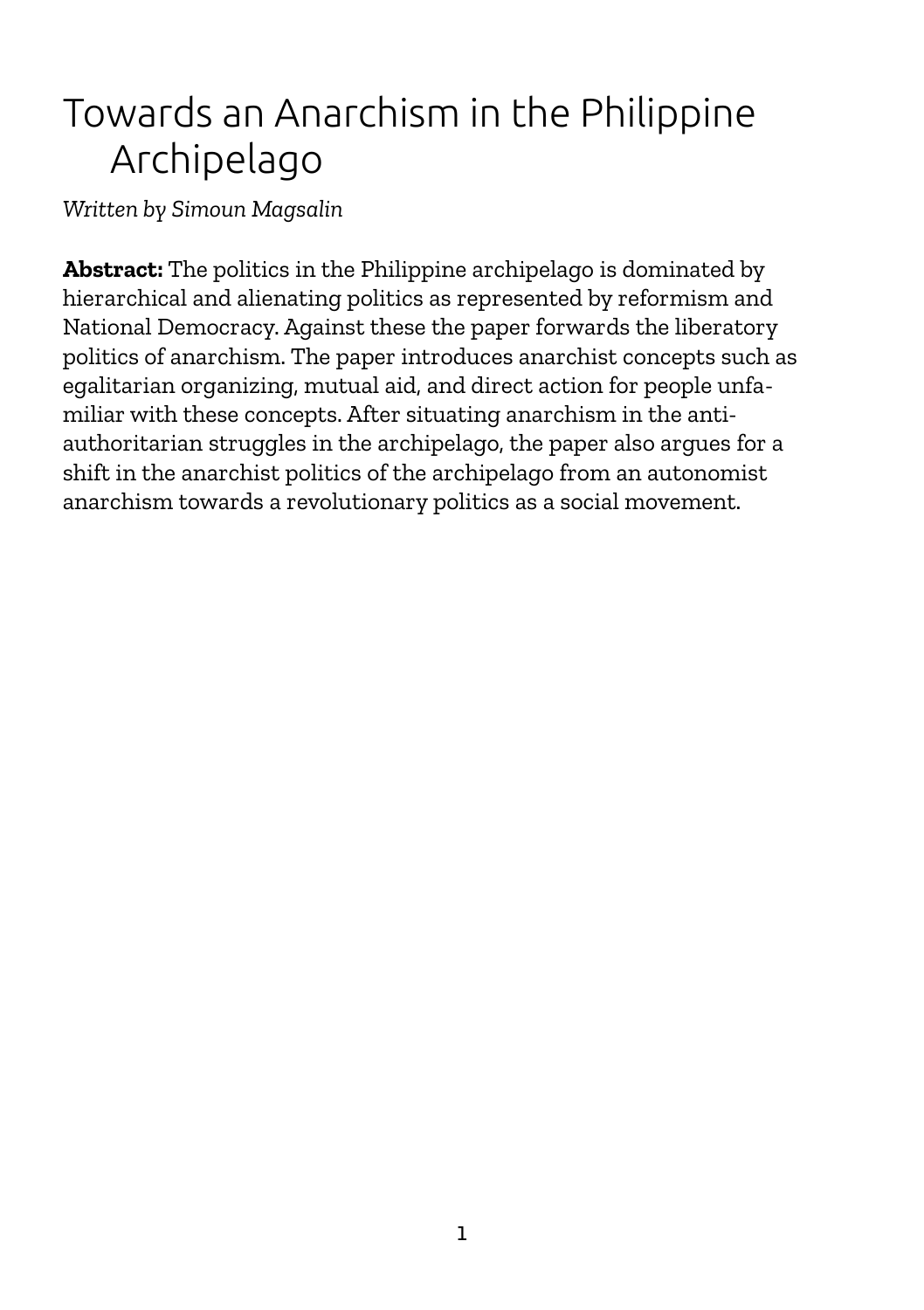# Towards an Anarchism in the Philippine Archipelago

*Written by Simoun Magsalin*

**Abstract:** The politics in the Philippine archipelago is dominated by hierarchical and alienating politics as represented by reformism and National Democracy. Against these the paper forwards the liberatory politics of anarchism. The paper introduces anarchist concepts such as egalitarian organizing, mutual aid, and direct action for people unfamiliar with these concepts. After situating anarchism in the antiauthoritarian struggles in the archipelago, the paper also argues for a shift in the anarchist politics of the archipelago from an autonomist anarchism towards a revolutionary politics as a social movement.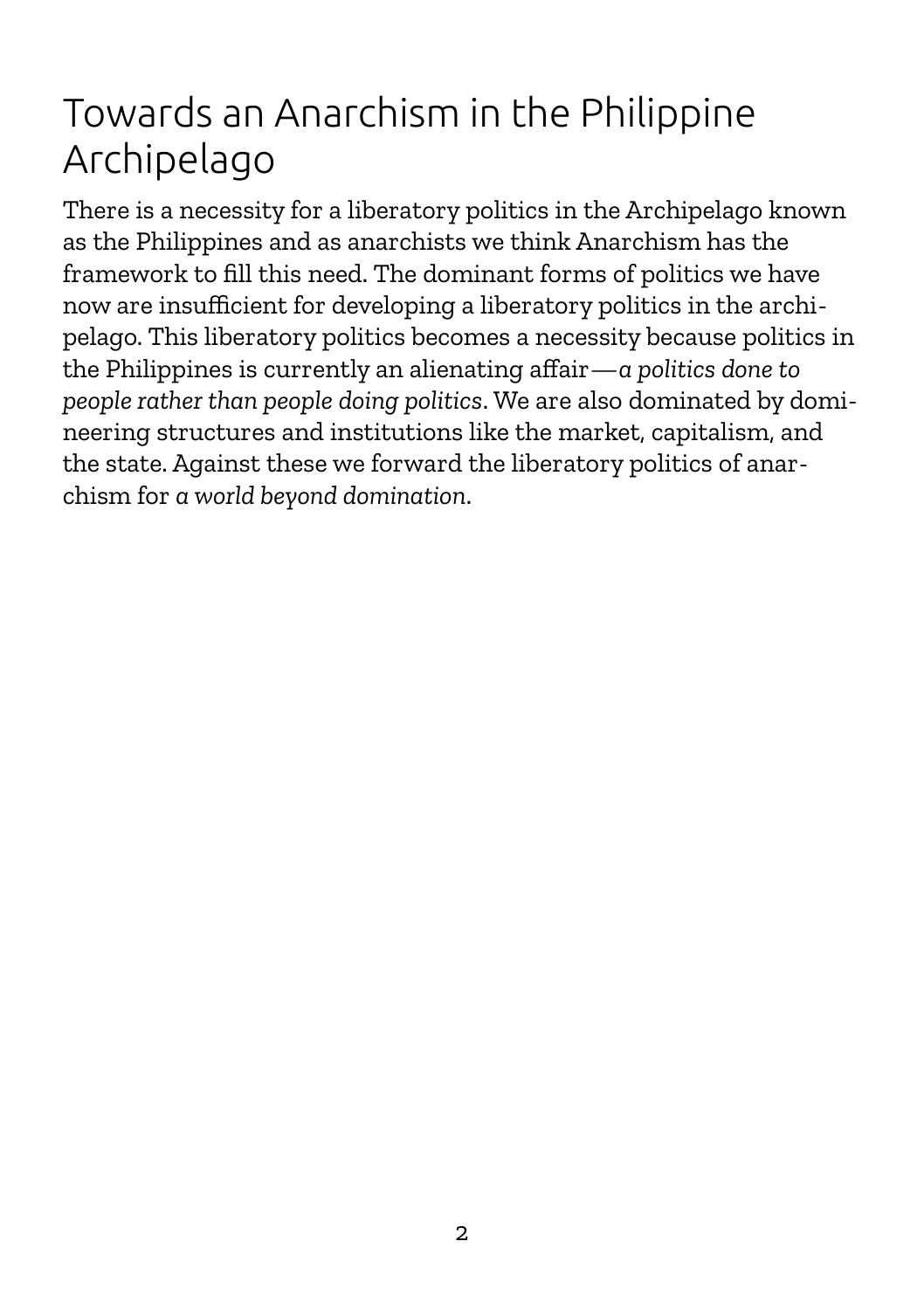# Towards an Anarchism in the Philippine Archipelago

There is a necessity for a liberatory politics in the Archipelago known as the Philippines and as anarchists we think Anarchism has the framework to fill this need. The dominant forms of politics we have now are insufficient for developing a liberatory politics in the archipelago. This liberatory politics becomes a necessity because politics in the Philippines is currently an alienating affair—*a politics done to people rather than people doing politics*. We are also dominated by domineering structures and institutions like the market, capitalism, and the state. Against these we forward the liberatory politics of anarchism for *a world beyond domination*.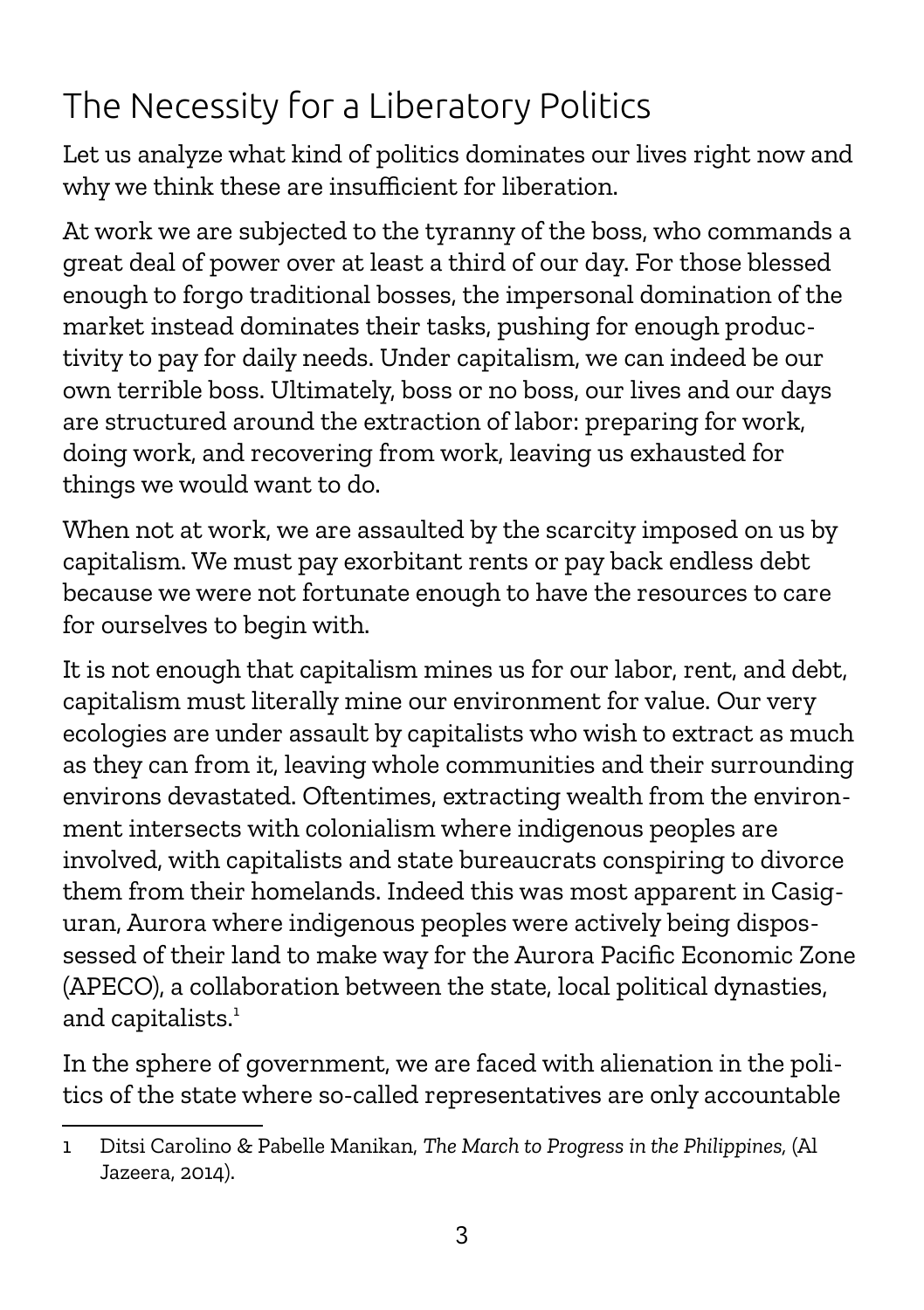# The Necessity for a Liberatory Politics

Let us analyze what kind of politics dominates our lives right now and why we think these are insufficient for liberation.

At work we are subjected to the tyranny of the boss, who commands a great deal of power over at least a third of our day. For those blessed enough to forgo traditional bosses, the impersonal domination of the market instead dominates their tasks, pushing for enough productivity to pay for daily needs. Under capitalism, we can indeed be our own terrible boss. Ultimately, boss or no boss, our lives and our days are structured around the extraction of labor: preparing for work, doing work, and recovering from work, leaving us exhausted for things we would want to do.

When not at work, we are assaulted by the scarcity imposed on us by capitalism. We must pay exorbitant rents or pay back endless debt because we were not fortunate enough to have the resources to care for ourselves to begin with.

It is not enough that capitalism mines us for our labor, rent, and debt, capitalism must literally mine our environment for value. Our very ecologies are under assault by capitalists who wish to extract as much as they can from it, leaving whole communities and their surrounding environs devastated. Oftentimes, extracting wealth from the environment intersects with colonialism where indigenous peoples are involved, with capitalists and state bureaucrats conspiring to divorce them from their homelands. Indeed this was most apparent in Casiguran, Aurora where indigenous peoples were actively being dispossessed of their land to make way for the Aurora Pacific Economic Zone (APECO), a collaboration between the state, local political dynasties, and capitalists.<sup>[1](#page-2-0)</sup>

In the sphere of government, we are faced with alienation in the politics of the state where so-called representatives are only accountable

<span id="page-2-0"></span><sup>1</sup> Ditsi Carolino & Pabelle Manikan, *The March to Progress in the Philippines,* (Al Jazeera, 2014).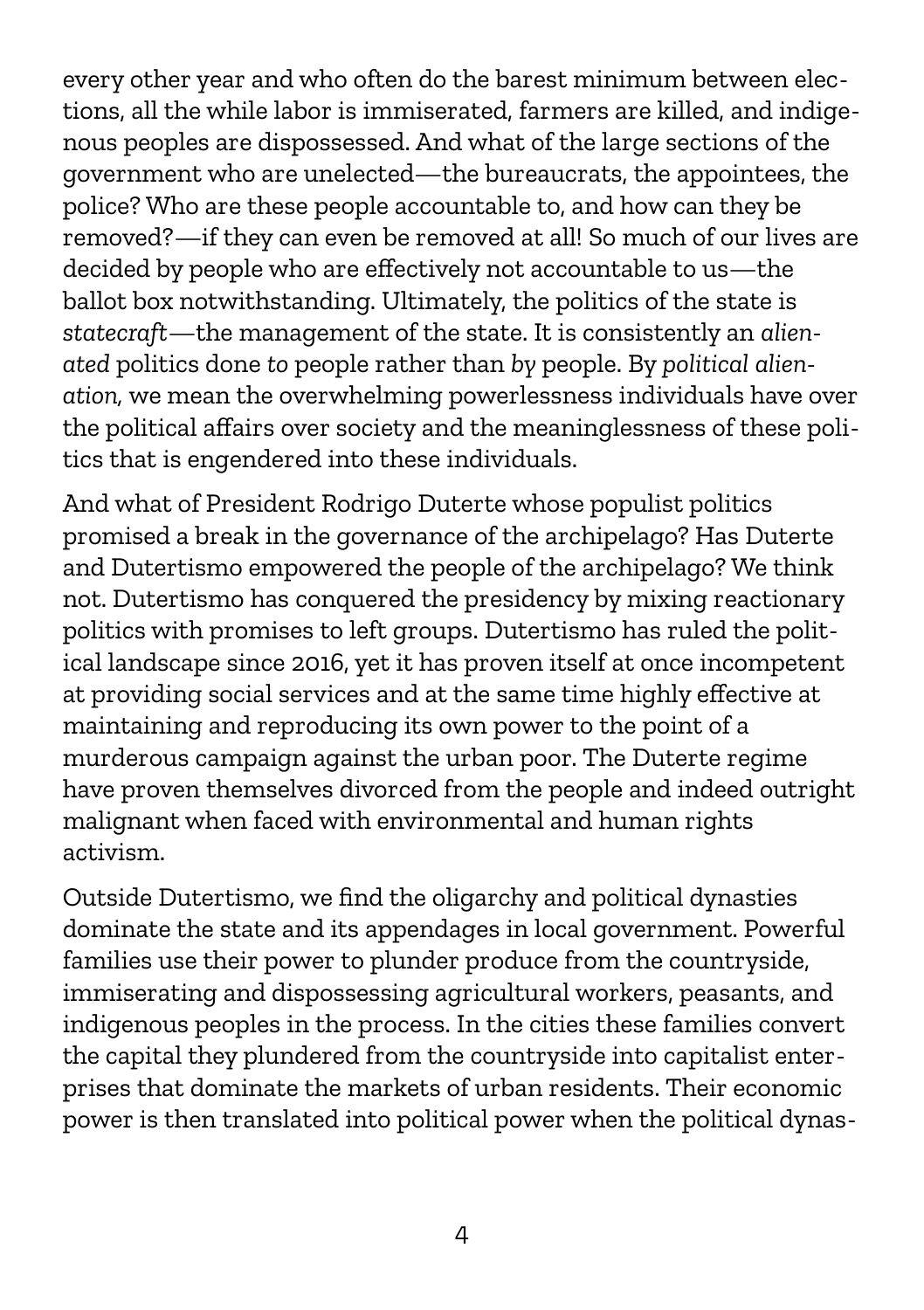every other year and who often do the barest minimum between elections, all the while labor is immiserated, farmers are killed, and indigenous peoples are dispossessed. And what of the large sections of the government who are unelected—the bureaucrats, the appointees, the police? Who are these people accountable to, and how can they be removed?—if they can even be removed at all! So much of our lives are decided by people who are effectively not accountable to us—the ballot box notwithstanding. Ultimately, the politics of the state is *statecraft*—the management of the state. It is consistently an *alienated* politics done *to* people rather than *by* people. By *political alienation,* we mean the overwhelming powerlessness individuals have over the political affairs over society and the meaninglessness of these politics that is engendered into these individuals.

And what of President Rodrigo Duterte whose populist politics promised a break in the governance of the archipelago? Has Duterte and Dutertismo empowered the people of the archipelago? We think not. Dutertismo has conquered the presidency by mixing reactionary politics with promises to left groups. Dutertismo has ruled the political landscape since 2016, yet it has proven itself at once incompetent at providing social services and at the same time highly effective at maintaining and reproducing its own power to the point of a murderous campaign against the urban poor. The Duterte regime have proven themselves divorced from the people and indeed outright malignant when faced with environmental and human rights activism.

Outside Dutertismo, we find the oligarchy and political dynasties dominate the state and its appendages in local government. Powerful families use their power to plunder produce from the countryside, immiserating and dispossessing agricultural workers, peasants, and indigenous peoples in the process. In the cities these families convert the capital they plundered from the countryside into capitalist enterprises that dominate the markets of urban residents. Their economic power is then translated into political power when the political dynas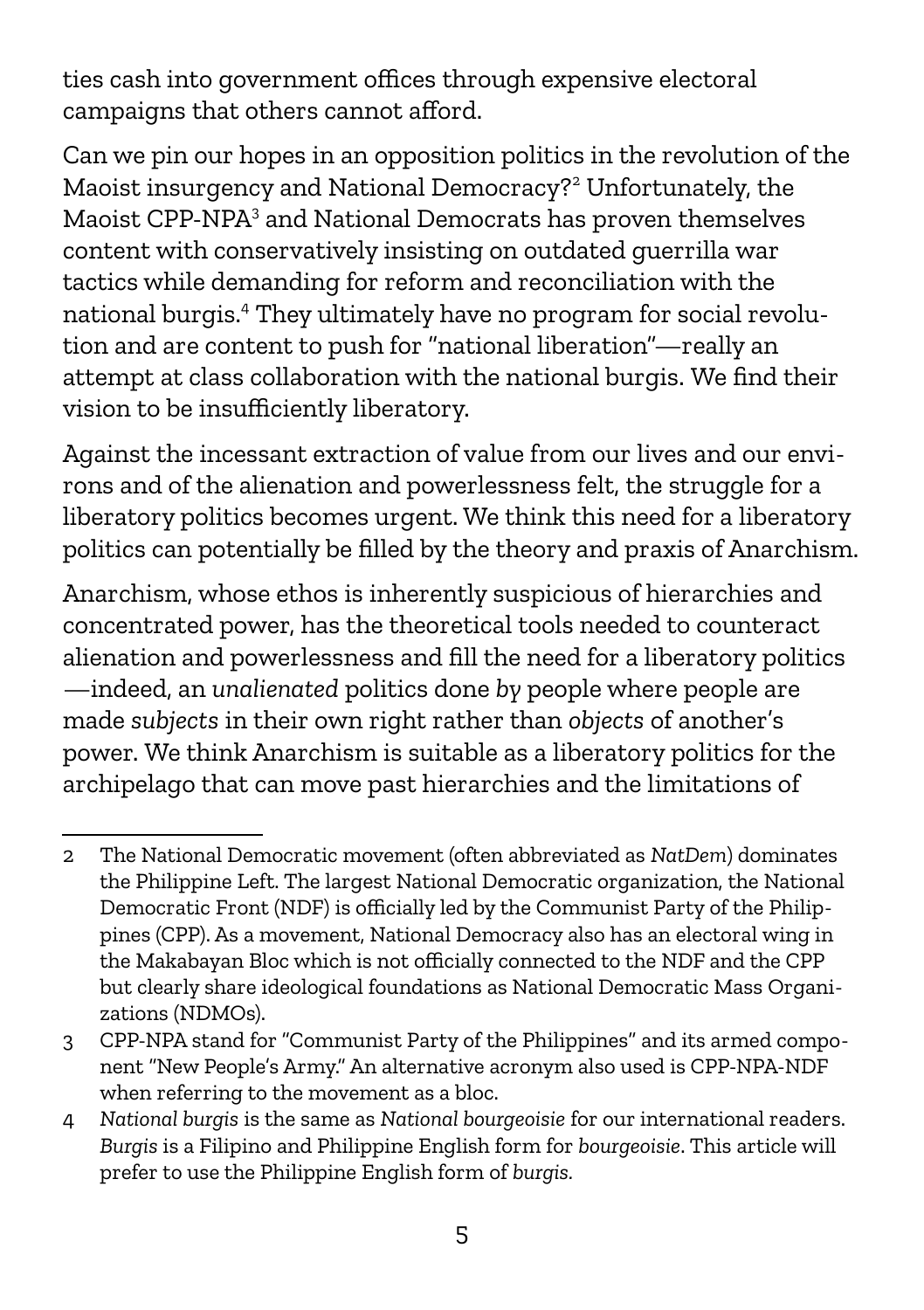ties cash into government offices through expensive electoral campaigns that others cannot afford.

Can we pin our hopes in an opposition politics in the revolution of the Maoist insurgency and National Democracy?[2](#page-4-0) Unfortunately, the Maoist CPP-NPA<sup>[3](#page-4-1)</sup> and National Democrats has proven themselves content with conservatively insisting on outdated guerrilla war tactics while demanding for reform and reconciliation with the national burgis.[4](#page-4-2) They ultimately have no program for social revolution and are content to push for "national liberation"—really an attempt at class collaboration with the national burgis. We find their vision to be insufficiently liberatory.

Against the incessant extraction of value from our lives and our environs and of the alienation and powerlessness felt, the struggle for a liberatory politics becomes urgent. We think this need for a liberatory politics can potentially be filled by the theory and praxis of Anarchism.

Anarchism, whose ethos is inherently suspicious of hierarchies and concentrated power, has the theoretical tools needed to counteract alienation and powerlessness and fill the need for a liberatory politics —indeed, an *unalienated* politics done *by* people where people are made *subjects* in their own right rather than *objects* of another's power. We think Anarchism is suitable as a liberatory politics for the archipelago that can move past hierarchies and the limitations of

<span id="page-4-0"></span><sup>2</sup> The National Democratic movement (often abbreviated as *NatDem*) dominates the Philippine Left. The largest National Democratic organization, the National Democratic Front (NDF) is officially led by the Communist Party of the Philippines (CPP). As a movement, National Democracy also has an electoral wing in the Makabayan Bloc which is not officially connected to the NDF and the CPP but clearly share ideological foundations as National Democratic Mass Organizations (NDMOs).

<span id="page-4-1"></span><sup>3</sup> CPP-NPA stand for "Communist Party of the Philippines" and its armed component "New People's Army." An alternative acronym also used is CPP-NPA-NDF when referring to the movement as a bloc.

<span id="page-4-2"></span><sup>4</sup> *National burgis* is the same as *National bourgeoisie* for our international readers. *Burgis* is a Filipino and Philippine English form for *bourgeoisie*. This article will prefer to use the Philippine English form of *burgis.*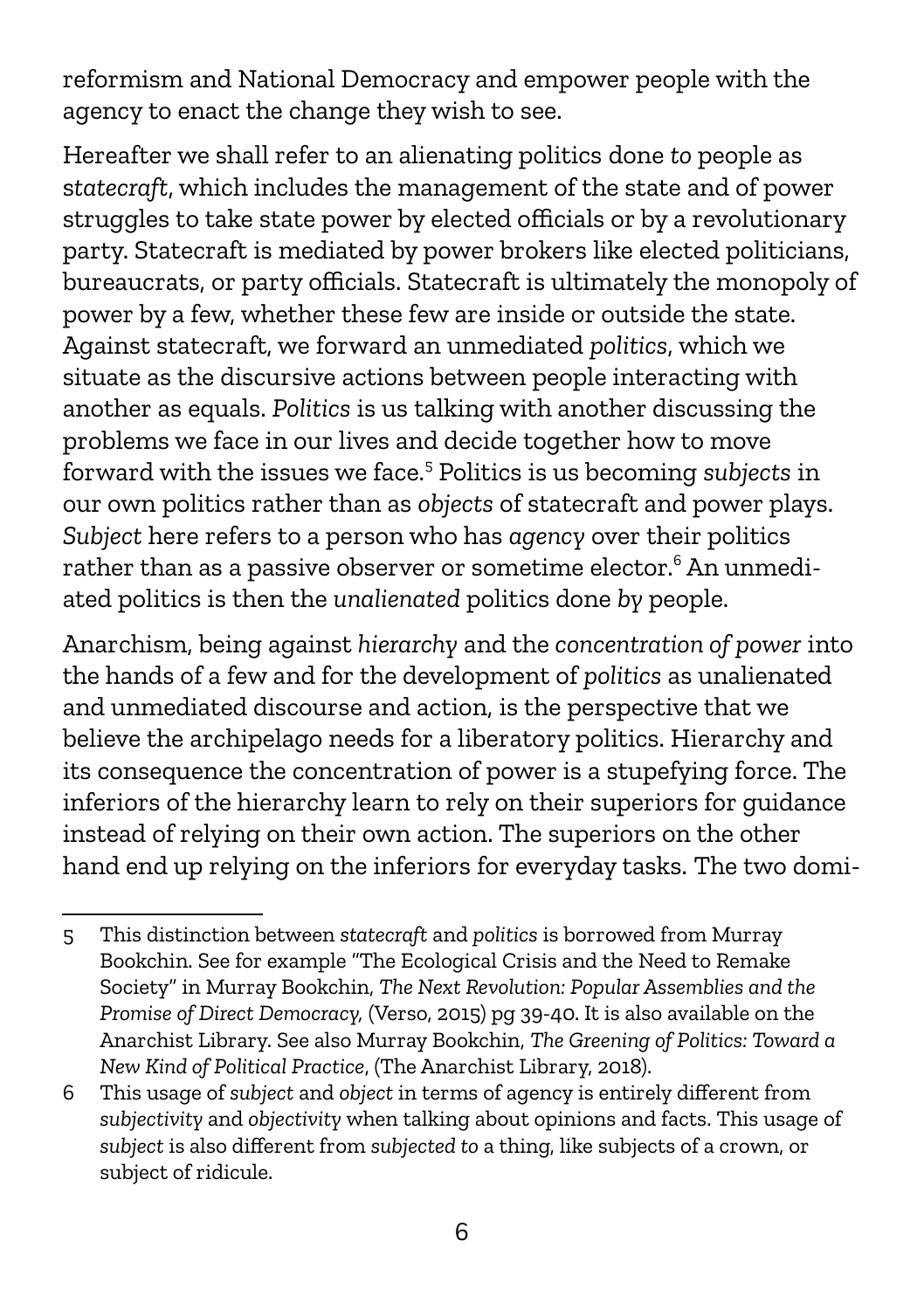reformism and National Democracy and empower people with the agency to enact the change they wish to see.

Hereafter we shall refer to an alienating politics done *to* people as s*tatecraft*, which includes the management of the state and of power struggles to take state power by elected officials or by a revolutionary party. Statecraft is mediated by power brokers like elected politicians, bureaucrats, or party officials. Statecraft is ultimately the monopoly of power by a few, whether these few are inside or outside the state. Against statecraft, we forward an unmediated *politics*, which we situate as the discursive actions between people interacting with another as equals. *Politics* is us talking with another discussing the problems we face in our lives and decide together how to move forward with the issues we face.[5](#page-5-0) Politics is us becoming *subjects* in our own politics rather than as *objects* of statecraft and power plays. *Subject* here refers to a person who has *agency* over their politics rather than as a passive observer or sometime elector. $^6$  $^6$  An unmediated politics is then the *unalienated* politics done *by* people.

Anarchism, being against *hierarchy* and the *concentration of power* into the hands of a few and for the development of *politics* as unalienated and unmediated discourse and action, is the perspective that we believe the archipelago needs for a liberatory politics. Hierarchy and its consequence the concentration of power is a stupefying force. The inferiors of the hierarchy learn to rely on their superiors for guidance instead of relying on their own action. The superiors on the other hand end up relying on the inferiors for everyday tasks. The two domi-

<span id="page-5-0"></span><sup>5</sup> This distinction between *statecraft* and *politics* is borrowed from Murray Bookchin. See for example "The Ecological Crisis and the Need to Remake Society" in Murray Bookchin, *The Next Revolution: Popular Assemblies and the Promise of Direct Democracy,* (Verso, 2015) pg 39-40. It is also available on the Anarchist Library. See also Murray Bookchin, *The Greening of Politics: Toward a New Kind of Political Practice*, (The Anarchist Library, 2018).

<span id="page-5-1"></span><sup>6</sup> This usage of *subject* and *object* in terms of agency is entirely different from *subjectivity* and *objectivity* when talking about opinions and facts. This usage of *subject* is also different from *subjected to* a thing, like subjects of a crown, or subject of ridicule.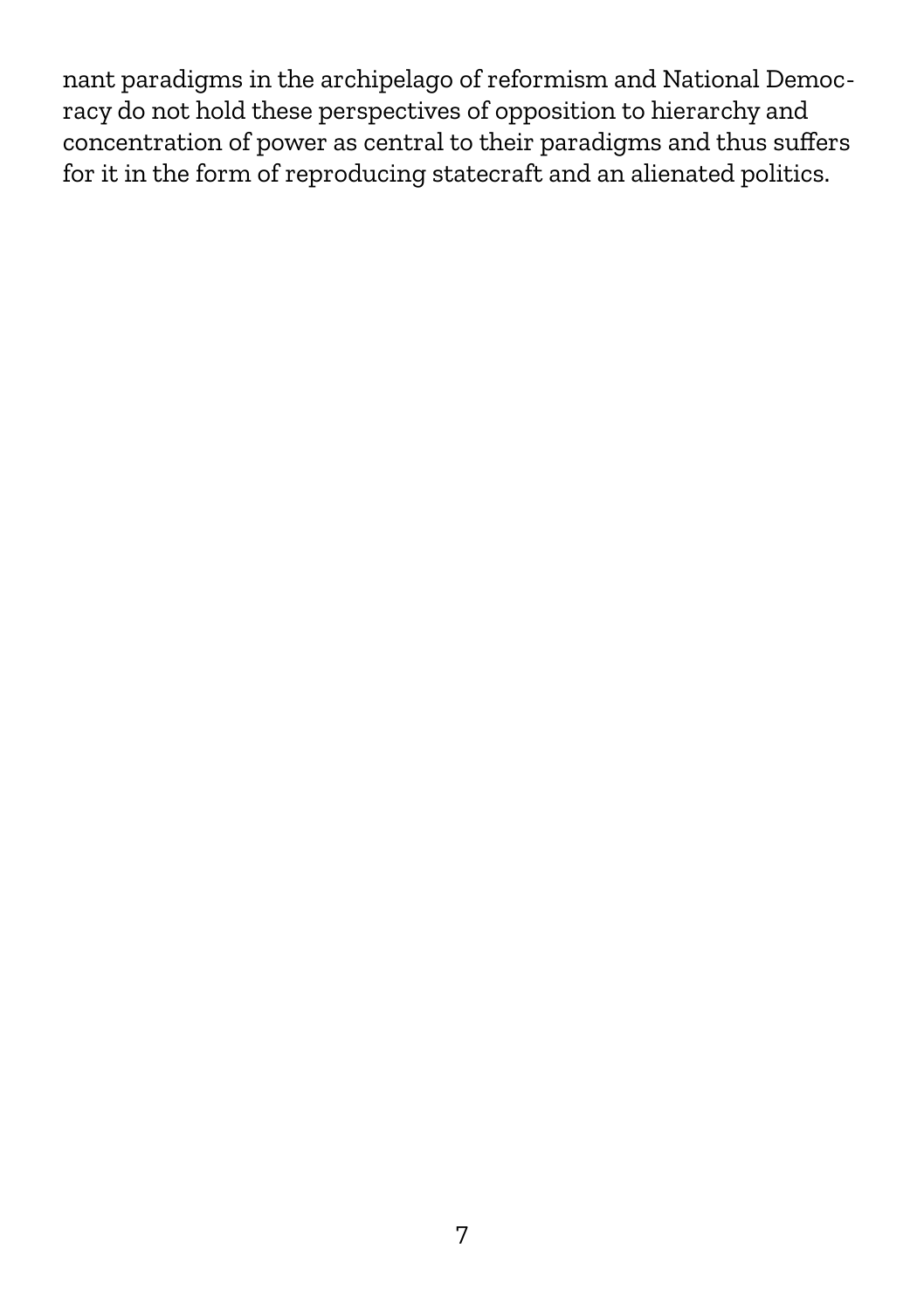nant paradigms in the archipelago of reformism and National Democracy do not hold these perspectives of opposition to hierarchy and concentration of power as central to their paradigms and thus suffers for it in the form of reproducing statecraft and an alienated politics.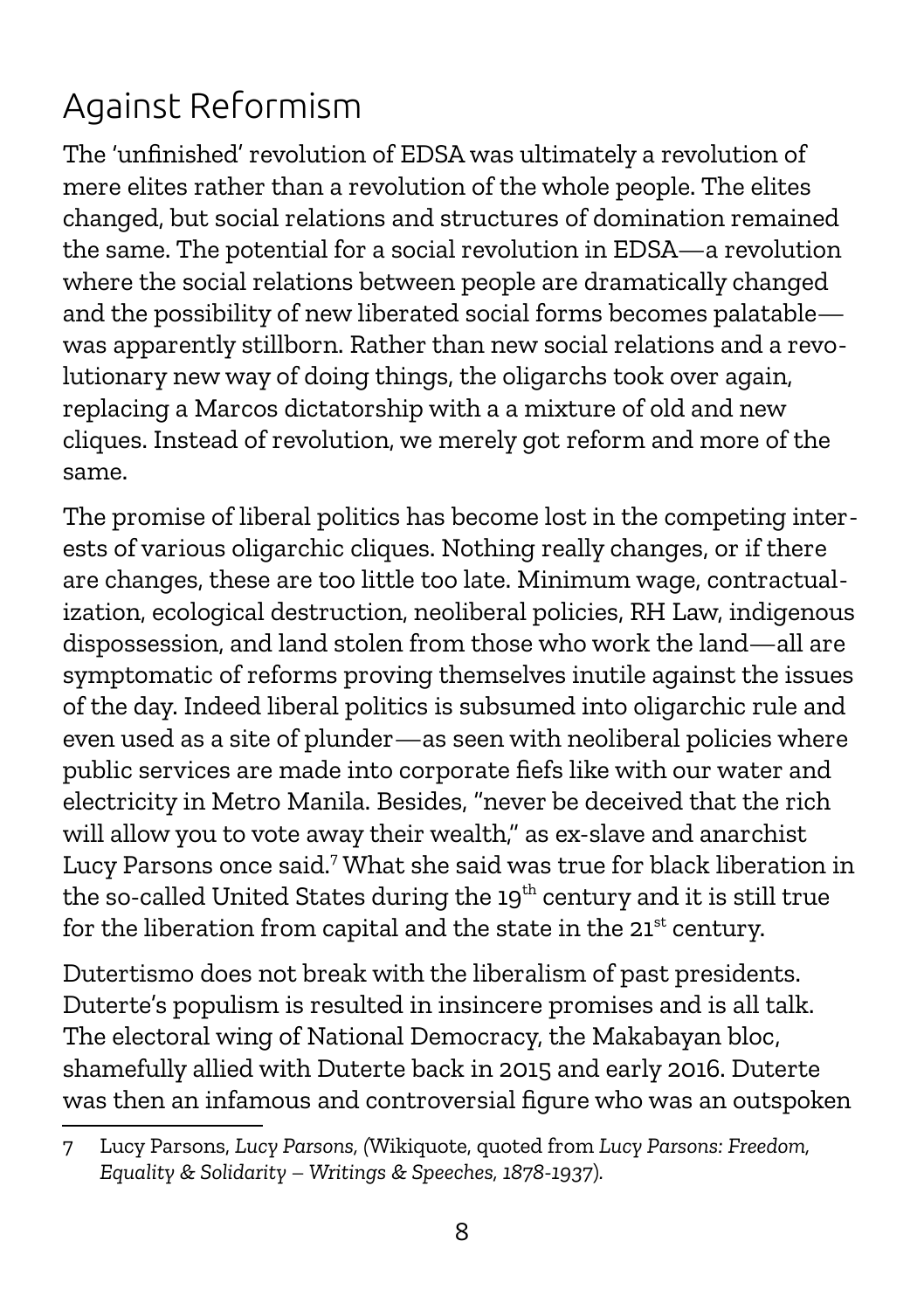### Against Reformism

The 'unfinished' revolution of EDSA was ultimately a revolution of mere elites rather than a revolution of the whole people. The elites changed, but social relations and structures of domination remained the same. The potential for a social revolution in EDSA—a revolution where the social relations between people are dramatically changed and the possibility of new liberated social forms becomes palatable was apparently stillborn. Rather than new social relations and a revolutionary new way of doing things, the oligarchs took over again, replacing a Marcos dictatorship with a a mixture of old and new cliques. Instead of revolution, we merely got reform and more of the same.

The promise of liberal politics has become lost in the competing interests of various oligarchic cliques. Nothing really changes, or if there are changes, these are too little too late. Minimum wage, contractualization, ecological destruction, neoliberal policies, RH Law, indigenous dispossession, and land stolen from those who work the land—all are symptomatic of reforms proving themselves inutile against the issues of the day. Indeed liberal politics is subsumed into oligarchic rule and even used as a site of plunder—as seen with neoliberal policies where public services are made into corporate fiefs like with our water and electricity in Metro Manila. Besides, "never be deceived that the rich will allow you to vote away their wealth," as ex-slave and anarchist Lucy Parsons once said.<sup>[7](#page-7-0)</sup> What she said was true for black liberation in the so-called United States during the 19<sup>th</sup> century and it is still true for the liberation from capital and the state in the  $21^{st}$  century.

Dutertismo does not break with the liberalism of past presidents. Duterte's populism is resulted in insincere promises and is all talk. The electoral wing of National Democracy, the Makabayan bloc, shamefully allied with Duterte back in 2015 and early 2016. Duterte was then an infamous and controversial figure who was an outspoken

<span id="page-7-0"></span><sup>7</sup> Lucy Parsons, *Lucy Parsons, (*Wikiquote, quoted from *Lucy Parsons: Freedom, Equality & Solidarity – Writings & Speeches, 1878-1937*)*.*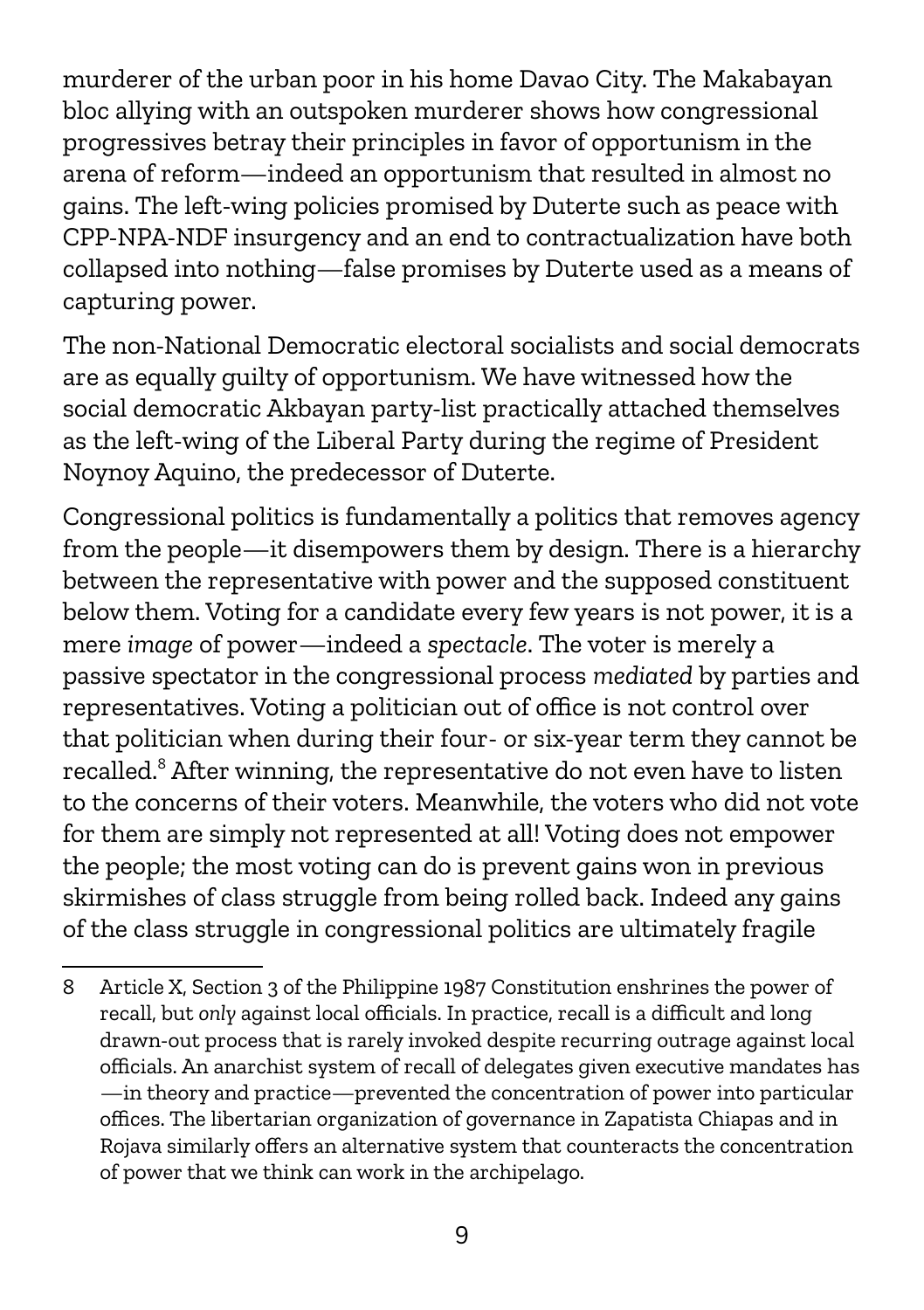murderer of the urban poor in his home Davao City. The Makabayan bloc allying with an outspoken murderer shows how congressional progressives betray their principles in favor of opportunism in the arena of reform—indeed an opportunism that resulted in almost no gains. The left-wing policies promised by Duterte such as peace with CPP-NPA-NDF insurgency and an end to contractualization have both collapsed into nothing—false promises by Duterte used as a means of capturing power.

The non-National Democratic electoral socialists and social democrats are as equally guilty of opportunism. We have witnessed how the social democratic Akbayan party-list practically attached themselves as the left-wing of the Liberal Party during the regime of President Noynoy Aquino, the predecessor of Duterte.

Congressional politics is fundamentally a politics that removes agency from the people—it disempowers them by design. There is a hierarchy between the representative with power and the supposed constituent below them. Voting for a candidate every few years is not power, it is a mere *image* of power—indeed a *spectacle*. The voter is merely a passive spectator in the congressional process *mediated* by parties and representatives. Voting a politician out of office is not control over that politician when during their four- or six-year term they cannot be recalled.<sup>[8](#page-8-0)</sup> After winning, the representative do not even have to listen to the concerns of their voters. Meanwhile, the voters who did not vote for them are simply not represented at all! Voting does not empower the people; the most voting can do is prevent gains won in previous skirmishes of class struggle from being rolled back. Indeed any gains of the class struggle in congressional politics are ultimately fragile

<span id="page-8-0"></span><sup>8</sup> Article X, Section 3 of the Philippine 1987 Constitution enshrines the power of recall, but *only* against local officials. In practice, recall is a difficult and long drawn-out process that is rarely invoked despite recurring outrage against local officials. An anarchist system of recall of delegates given executive mandates has —in theory and practice—prevented the concentration of power into particular offices. The libertarian organization of governance in Zapatista Chiapas and in Rojava similarly offers an alternative system that counteracts the concentration of power that we think can work in the archipelago.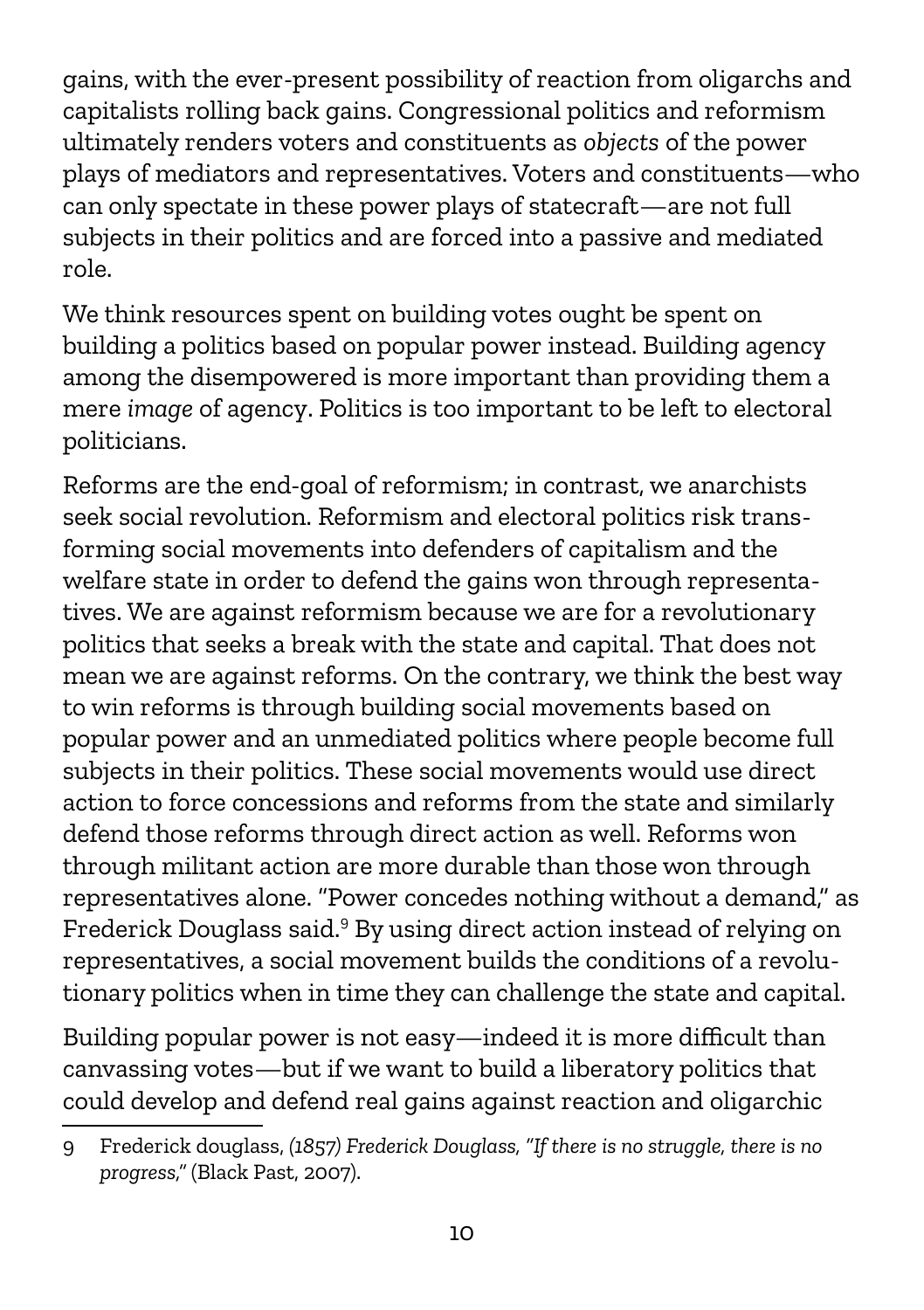gains, with the ever-present possibility of reaction from oligarchs and capitalists rolling back gains. Congressional politics and reformism ultimately renders voters and constituents as *objects* of the power plays of mediators and representatives. Voters and constituents—who can only spectate in these power plays of statecraft—are not full subjects in their politics and are forced into a passive and mediated role.

We think resources spent on building votes ought be spent on building a politics based on popular power instead. Building agency among the disempowered is more important than providing them a mere *image* of agency. Politics is too important to be left to electoral politicians.

Reforms are the end-goal of reformism; in contrast, we anarchists seek social revolution. Reformism and electoral politics risk transforming social movements into defenders of capitalism and the welfare state in order to defend the gains won through representatives. We are against reformism because we are for a revolutionary politics that seeks a break with the state and capital. That does not mean we are against reforms. On the contrary, we think the best way to win reforms is through building social movements based on popular power and an unmediated politics where people become full subjects in their politics. These social movements would use direct action to force concessions and reforms from the state and similarly defend those reforms through direct action as well. Reforms won through militant action are more durable than those won through representatives alone. "Power concedes nothing without a demand," as Frederick Douglass said.<sup>[9](#page-9-0)</sup> By using direct action instead of relying on representatives, a social movement builds the conditions of a revolutionary politics when in time they can challenge the state and capital.

Building popular power is not easy—indeed it is more difficult than canvassing votes—but if we want to build a liberatory politics that could develop and defend real gains against reaction and oligarchic

<span id="page-9-0"></span><sup>9</sup> Frederick douglass, *(1857) Frederick Douglass, "If there is no struggle, there is no progress,"* (Black Past, 2007).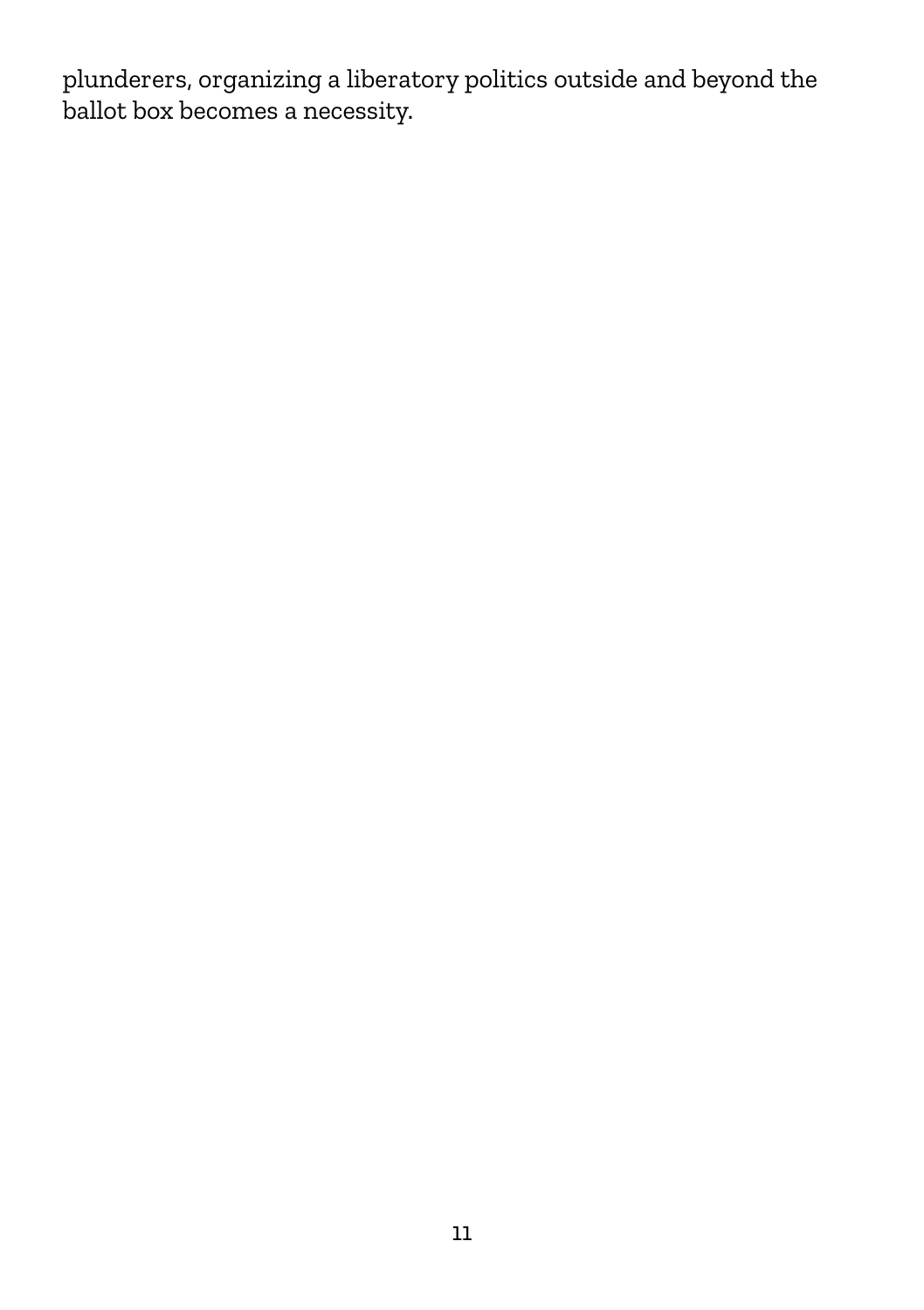plunderers, organizing a liberatory politics outside and beyond the ballot box becomes a necessity.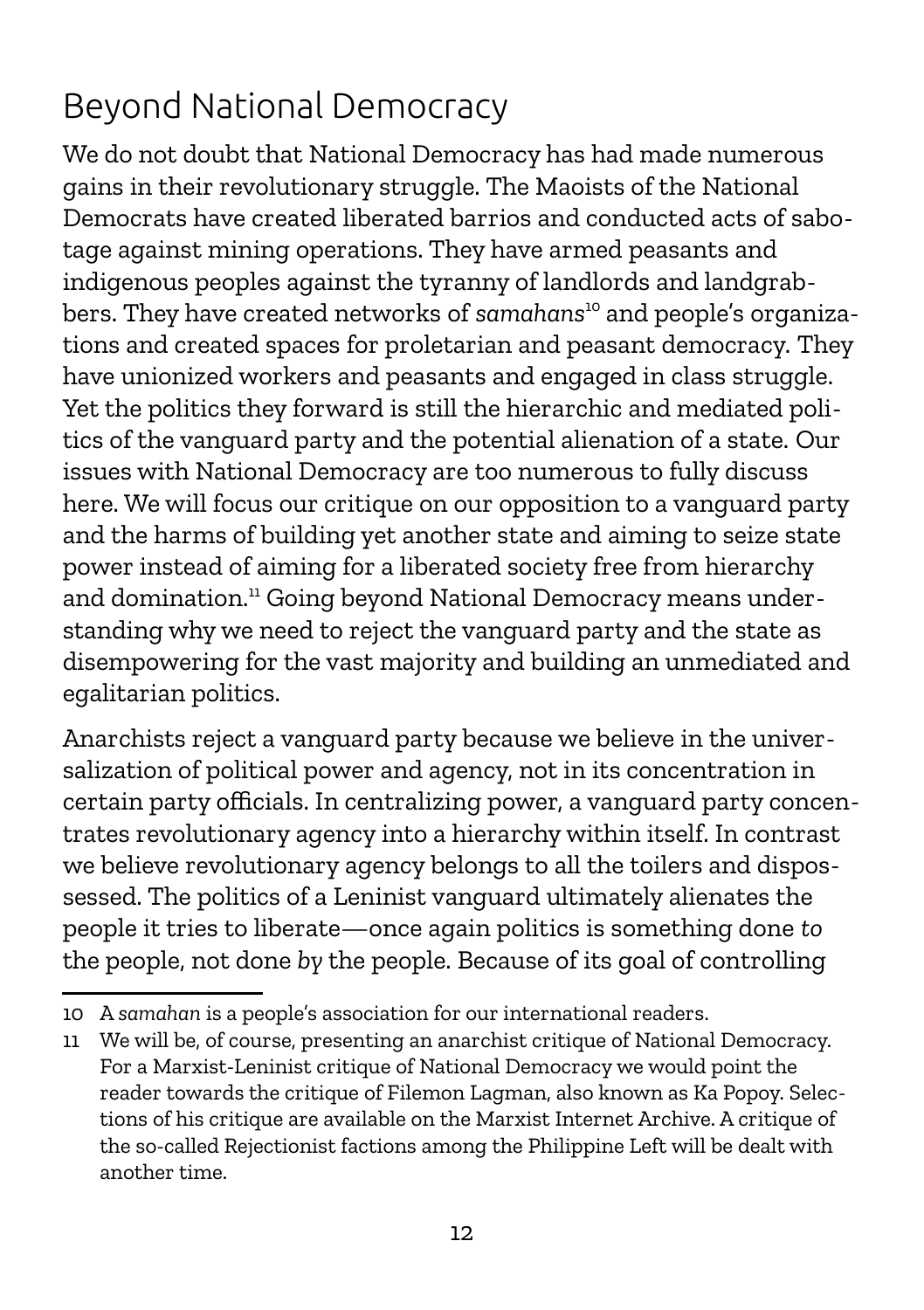### Beyond National Democracy

We do not doubt that National Democracy has had made numerous gains in their revolutionary struggle. The Maoists of the National Democrats have created liberated barrios and conducted acts of sabotage against mining operations. They have armed peasants and indigenous peoples against the tyranny of landlords and landgrabbers. They have created networks of *samahans*[10](#page-11-0) and people's organizations and created spaces for proletarian and peasant democracy. They have unionized workers and peasants and engaged in class struggle. Yet the politics they forward is still the hierarchic and mediated politics of the vanguard party and the potential alienation of a state. Our issues with National Democracy are too numerous to fully discuss here. We will focus our critique on our opposition to a vanguard party and the harms of building yet another state and aiming to seize state power instead of aiming for a liberated society free from hierarchy and domination.<sup>[11](#page-11-1)</sup> Going beyond National Democracy means understanding why we need to reject the vanguard party and the state as disempowering for the vast majority and building an unmediated and egalitarian politics.

Anarchists reject a vanguard party because we believe in the universalization of political power and agency, not in its concentration in certain party officials. In centralizing power, a vanguard party concentrates revolutionary agency into a hierarchy within itself. In contrast we believe revolutionary agency belongs to all the toilers and dispossessed. The politics of a Leninist vanguard ultimately alienates the people it tries to liberate—once again politics is something done *to* the people, not done *by* the people. Because of its goal of controlling

<span id="page-11-0"></span><sup>10</sup> A *samahan* is a people's association for our international readers.

<span id="page-11-1"></span><sup>11</sup> We will be, of course, presenting an anarchist critique of National Democracy. For a Marxist-Leninist critique of National Democracy we would point the reader towards the critique of Filemon Lagman, also known as Ka Popoy. Selections of his critique are available on the Marxist Internet Archive. A critique of the so-called Rejectionist factions among the Philippine Left will be dealt with another time.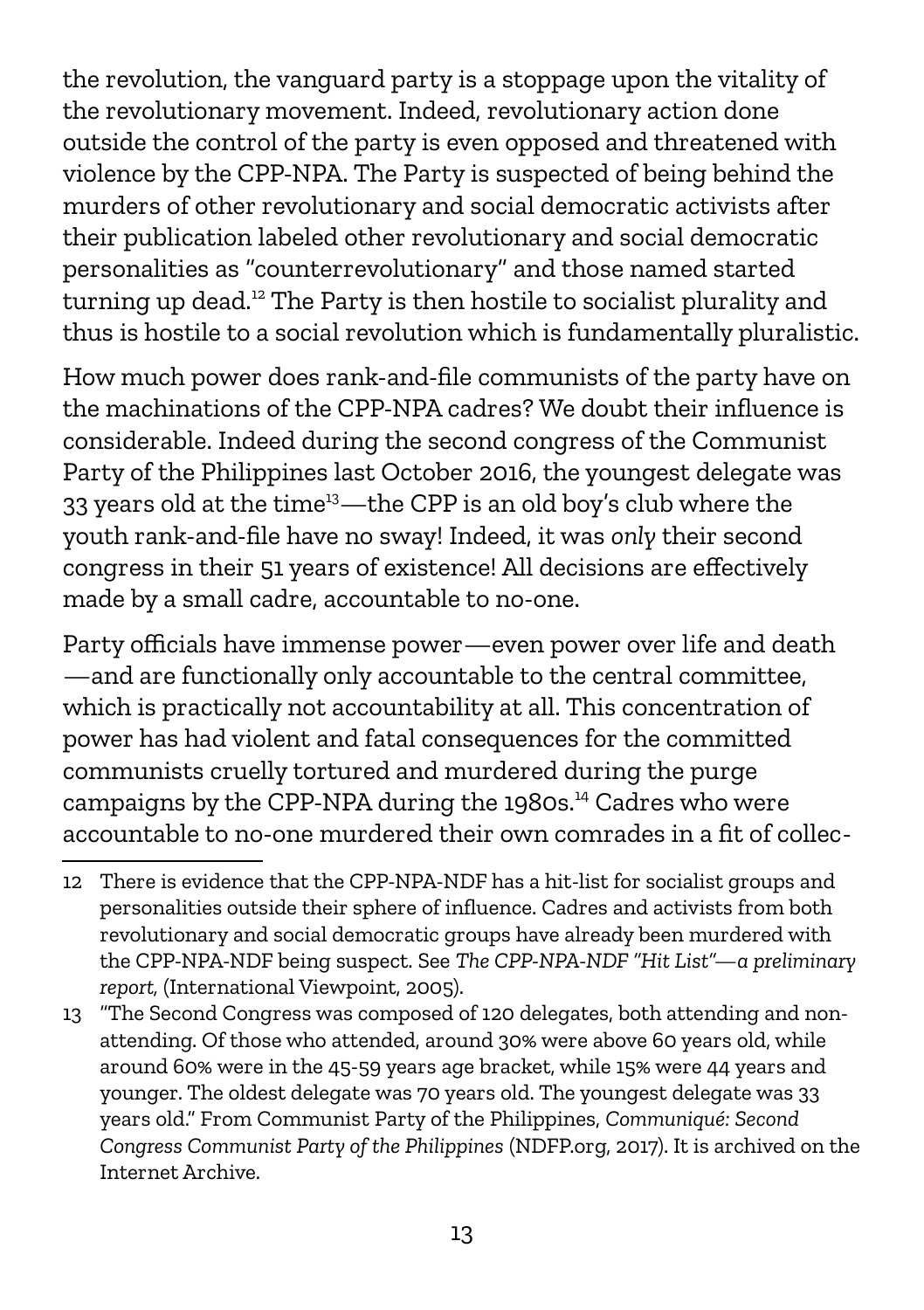the revolution, the vanguard party is a stoppage upon the vitality of the revolutionary movement. Indeed, revolutionary action done outside the control of the party is even opposed and threatened with violence by the CPP-NPA. The Party is suspected of being behind the murders of other revolutionary and social democratic activists after their publication labeled other revolutionary and social democratic personalities as "counterrevolutionary" and those named started turning up dead.<sup>[12](#page-12-0)</sup> The Party is then hostile to socialist plurality and thus is hostile to a social revolution which is fundamentally pluralistic.

How much power does rank-and-file communists of the party have on the machinations of the CPP-NPA cadres? We doubt their influence is considerable. Indeed during the second congress of the Communist Party of the Philippines last October 2016, the youngest delegate was 33 years old at the time<sup>[13](#page-12-1)</sup>—the CPP is an old boy's club where the youth rank-and-file have no sway! Indeed, it was *only* their second congress in their 51 years of existence! All decisions are effectively made by a small cadre, accountable to no-one.

Party officials have immense power—even power over life and death —and are functionally only accountable to the central committee, which is practically not accountability at all. This concentration of power has had violent and fatal consequences for the committed communists cruelly tortured and murdered during the purge campaigns by the CPP-NPA during the 1980s.<sup>14</sup> Cadres who were accountable to no-one murdered their own comrades in a fit of collec-

<span id="page-12-0"></span><sup>12</sup> There is evidence that the CPP-NPA-NDF has a hit-list for socialist groups and personalities outside their sphere of influence. Cadres and activists from both revolutionary and social democratic groups have already been murdered with the CPP-NPA-NDF being suspect. See *The CPP-NPA-NDF "Hit List"—a preliminary report,* (International Viewpoint, 2005).

<span id="page-12-1"></span><sup>13</sup> "The Second Congress was composed of 120 delegates, both attending and nonattending. Of those who attended, around 30% were above 60 years old, while around 60% were in the 45-59 years age bracket, while 15% were 44 years and younger. The oldest delegate was 70 years old. The youngest delegate was 33 years old." From Communist Party of the Philippines, *Communiqué: Second Congress Communist Party of the Philippines* (NDFP.org, 2017). It is archived on the Internet Archive.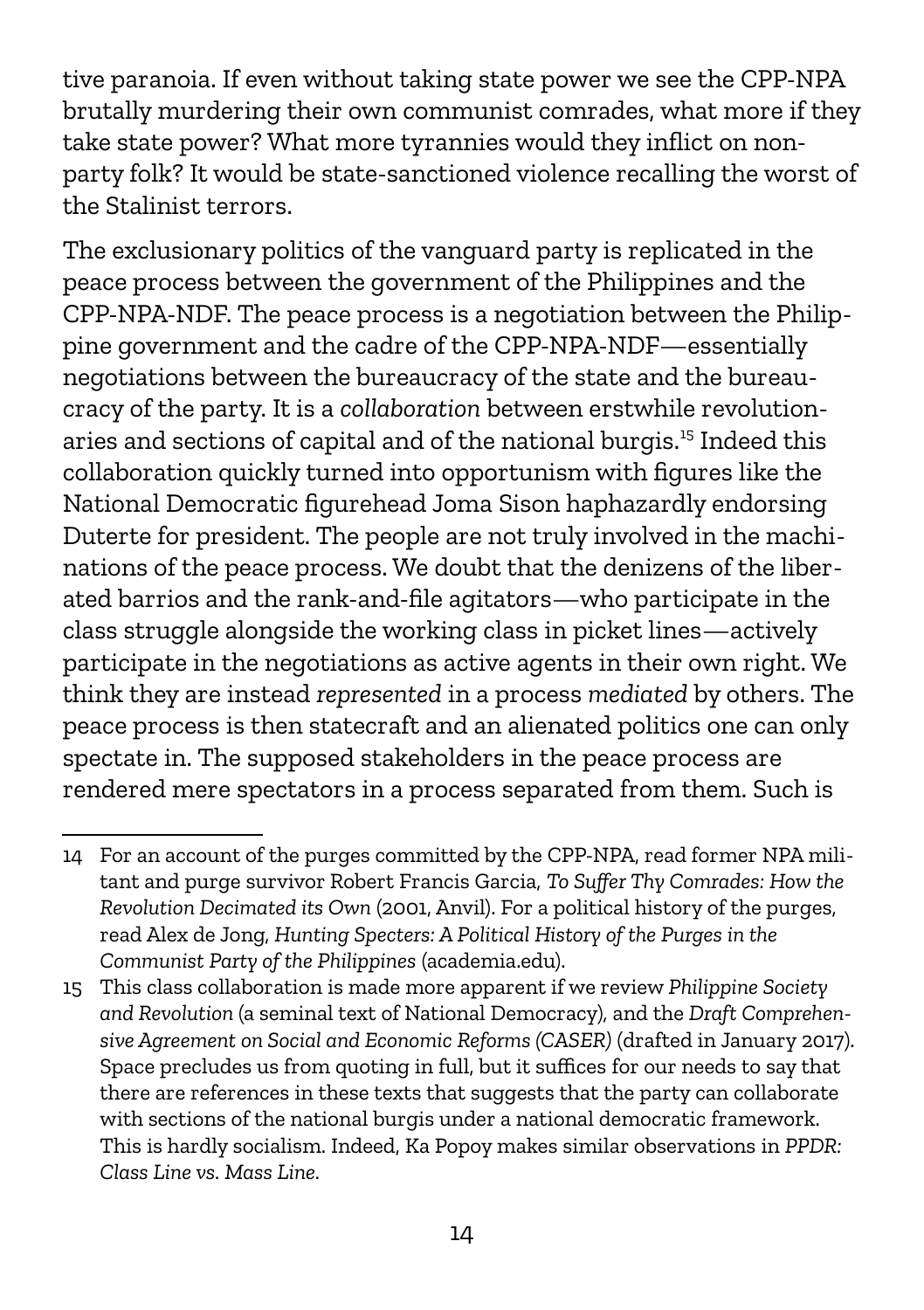tive paranoia. If even without taking state power we see the CPP-NPA brutally murdering their own communist comrades, what more if they take state power? What more tyrannies would they inflict on nonparty folk? It would be state-sanctioned violence recalling the worst of the Stalinist terrors.

The exclusionary politics of the vanguard party is replicated in the peace process between the government of the Philippines and the CPP-NPA-NDF. The peace process is a negotiation between the Philippine government and the cadre of the CPP-NPA-NDF—essentially negotiations between the bureaucracy of the state and the bureaucracy of the party. It is a *collaboration* between erstwhile revolutionaries and sections of capital and of the national burgis.[15](#page-13-0) Indeed this collaboration quickly turned into opportunism with figures like the National Democratic figurehead Joma Sison haphazardly endorsing Duterte for president. The people are not truly involved in the machinations of the peace process. We doubt that the denizens of the liberated barrios and the rank-and-file agitators—who participate in the class struggle alongside the working class in picket lines—actively participate in the negotiations as active agents in their own right. We think they are instead *represented* in a process *mediated* by others. The peace process is then statecraft and an alienated politics one can only spectate in. The supposed stakeholders in the peace process are rendered mere spectators in a process separated from them. Such is

<sup>14</sup> For an account of the purges committed by the CPP-NPA, read former NPA militant and purge survivor Robert Francis Garcia, *To Suffer Thy Comrades: How the Revolution Decimated its Own* (2001, Anvil). For a political history of the purges, read Alex de Jong, *Hunting Specters: A Political History of the Purges in the Communist Party of the Philippines* (academia.edu).

<span id="page-13-0"></span><sup>15</sup> This class collaboration is made more apparent if we review *Philippine Society and Revolution* (a seminal text of National Democracy)*,* and the *Draft Comprehensive Agreement on Social and Economic Reforms (CASER)* (drafted in January 2017). Space precludes us from quoting in full, but it suffices for our needs to say that there are references in these texts that suggests that the party can collaborate with sections of the national burgis under a national democratic framework. This is hardly socialism. Indeed, Ka Popoy makes similar observations in *PPDR: Class Line vs. Mass Line.*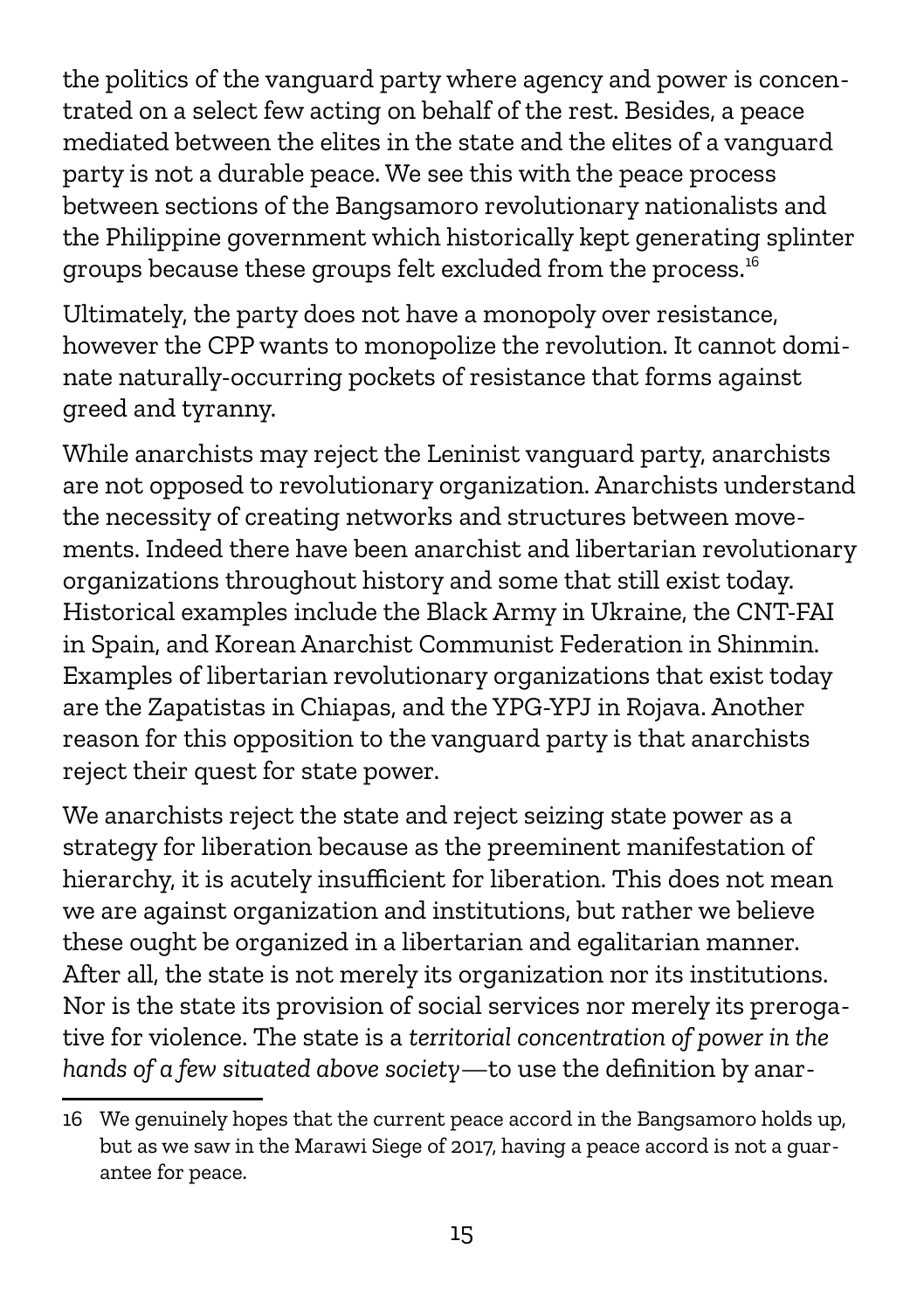the politics of the vanguard party where agency and power is concentrated on a select few acting on behalf of the rest. Besides, a peace mediated between the elites in the state and the elites of a vanguard party is not a durable peace. We see this with the peace process between sections of the Bangsamoro revolutionary nationalists and the Philippine government which historically kept generating splinter groups because these groups felt excluded from the process.[16](#page-14-0)

Ultimately, the party does not have a monopoly over resistance, however the CPP wants to monopolize the revolution. It cannot dominate naturally-occurring pockets of resistance that forms against greed and tyranny.

While anarchists may reject the Leninist vanguard party, anarchists are not opposed to revolutionary organization. Anarchists understand the necessity of creating networks and structures between movements. Indeed there have been anarchist and libertarian revolutionary organizations throughout history and some that still exist today. Historical examples include the Black Army in Ukraine, the CNT-FAI in Spain, and Korean Anarchist Communist Federation in Shinmin. Examples of libertarian revolutionary organizations that exist today are the Zapatistas in Chiapas, and the YPG-YPJ in Rojava. Another reason for this opposition to the vanguard party is that anarchists reject their quest for state power.

We anarchists reject the state and reject seizing state power as a strategy for liberation because as the preeminent manifestation of hierarchy, it is acutely insufficient for liberation. This does not mean we are against organization and institutions, but rather we believe these ought be organized in a libertarian and egalitarian manner. After all, the state is not merely its organization nor its institutions. Nor is the state its provision of social services nor merely its prerogative for violence. The state is a *territorial concentration of power in the hands of a few situated above society*—to use the definition by anar-

<span id="page-14-0"></span><sup>16</sup> We genuinely hopes that the current peace accord in the Bangsamoro holds up, but as we saw in the Marawi Siege of 2017, having a peace accord is not a guarantee for peace.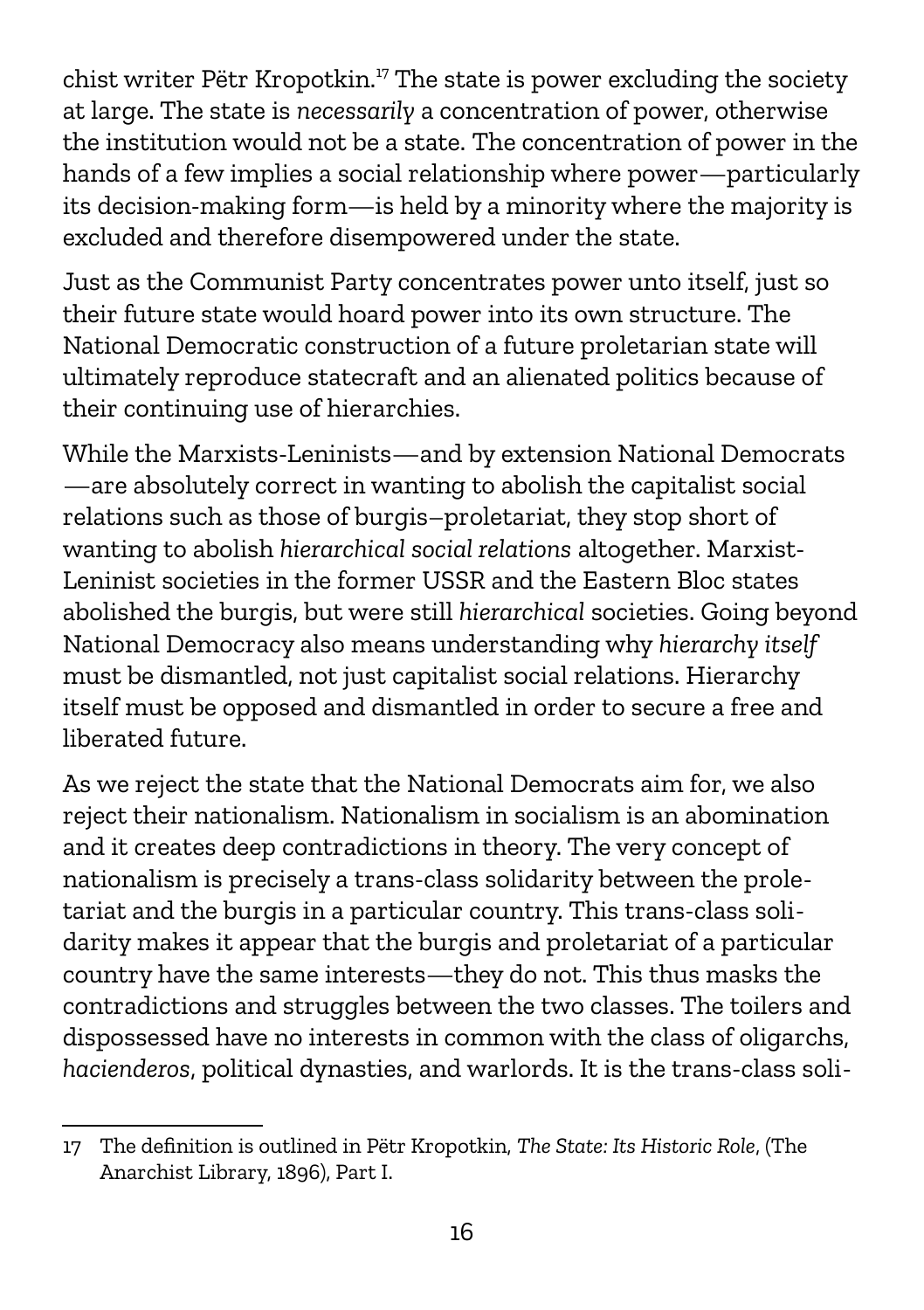chist writer Pëtr Kropotkin.<sup>[17](#page-15-0)</sup> The state is power excluding the society at large. The state is *necessarily* a concentration of power, otherwise the institution would not be a state. The concentration of power in the hands of a few implies a social relationship where power—particularly its decision-making form—is held by a minority where the majority is excluded and therefore disempowered under the state.

Just as the Communist Party concentrates power unto itself, just so their future state would hoard power into its own structure. The National Democratic construction of a future proletarian state will ultimately reproduce statecraft and an alienated politics because of their continuing use of hierarchies.

While the Marxists-Leninists—and by extension National Democrats —are absolutely correct in wanting to abolish the capitalist social relations such as those of burgis–proletariat, they stop short of wanting to abolish *hierarchical social relations* altogether. Marxist-Leninist societies in the former USSR and the Eastern Bloc states abolished the burgis, but were still *hierarchical* societies. Going beyond National Democracy also means understanding why *hierarchy itself* must be dismantled, not just capitalist social relations. Hierarchy itself must be opposed and dismantled in order to secure a free and liberated future.

As we reject the state that the National Democrats aim for, we also reject their nationalism. Nationalism in socialism is an abomination and it creates deep contradictions in theory. The very concept of nationalism is precisely a trans-class solidarity between the proletariat and the burgis in a particular country. This trans-class solidarity makes it appear that the burgis and proletariat of a particular country have the same interests—they do not. This thus masks the contradictions and struggles between the two classes. The toilers and dispossessed have no interests in common with the class of oligarchs, *hacienderos*, political dynasties, and warlords. It is the trans-class soli-

<span id="page-15-0"></span><sup>17</sup> The definition is outlined in Pëtr Kropotkin, *The State: Its Historic Role*, (The Anarchist Library, 1896), Part I.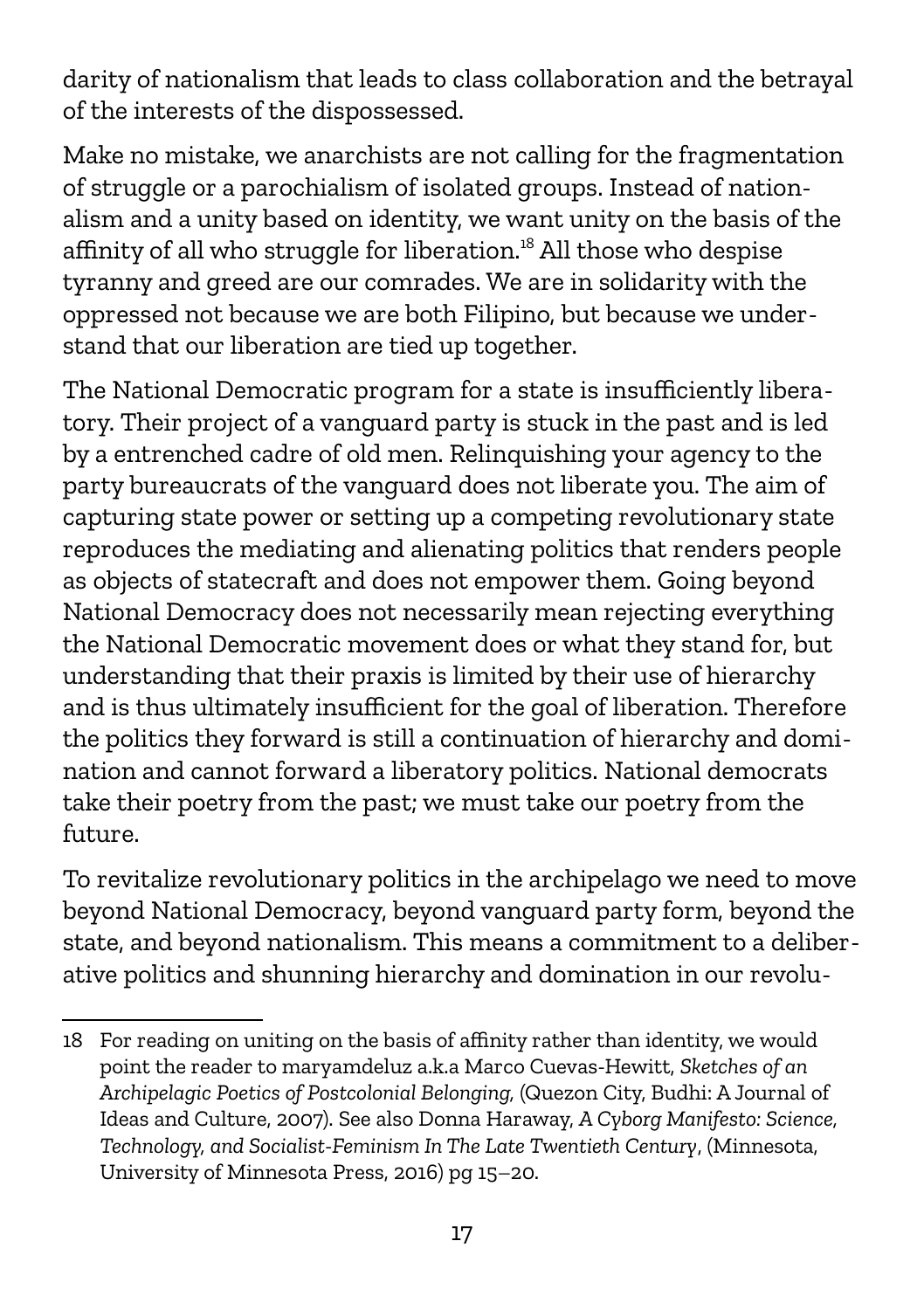darity of nationalism that leads to class collaboration and the betrayal of the interests of the dispossessed.

Make no mistake, we anarchists are not calling for the fragmentation of struggle or a parochialism of isolated groups. Instead of nationalism and a unity based on identity, we want unity on the basis of the affinity of all who struggle for liberation.<sup>[18](#page-16-0)</sup> All those who despise tyranny and greed are our comrades. We are in solidarity with the oppressed not because we are both Filipino, but because we understand that our liberation are tied up together.

The National Democratic program for a state is insufficiently liberatory. Their project of a vanguard party is stuck in the past and is led by a entrenched cadre of old men. Relinquishing your agency to the party bureaucrats of the vanguard does not liberate you. The aim of capturing state power or setting up a competing revolutionary state reproduces the mediating and alienating politics that renders people as objects of statecraft and does not empower them. Going beyond National Democracy does not necessarily mean rejecting everything the National Democratic movement does or what they stand for, but understanding that their praxis is limited by their use of hierarchy and is thus ultimately insufficient for the goal of liberation. Therefore the politics they forward is still a continuation of hierarchy and domination and cannot forward a liberatory politics. National democrats take their poetry from the past; we must take our poetry from the future.

To revitalize revolutionary politics in the archipelago we need to move beyond National Democracy, beyond vanguard party form, beyond the state, and beyond nationalism. This means a commitment to a deliberative politics and shunning hierarchy and domination in our revolu-

<span id="page-16-0"></span><sup>18</sup> For reading on uniting on the basis of affinity rather than identity, we would point the reader to maryamdeluz a.k.a Marco Cuevas-Hewitt, *Sketches of an Archipelagic Poetics of Postcolonial Belonging,* (Quezon City, Budhi: A Journal of Ideas and Culture, 2007). See also Donna Haraway, *A Cyborg Manifesto: Science, Technology, and Socialist-Feminism In The Late Twentieth Century*, (Minnesota, University of Minnesota Press, 2016) pg 15–20.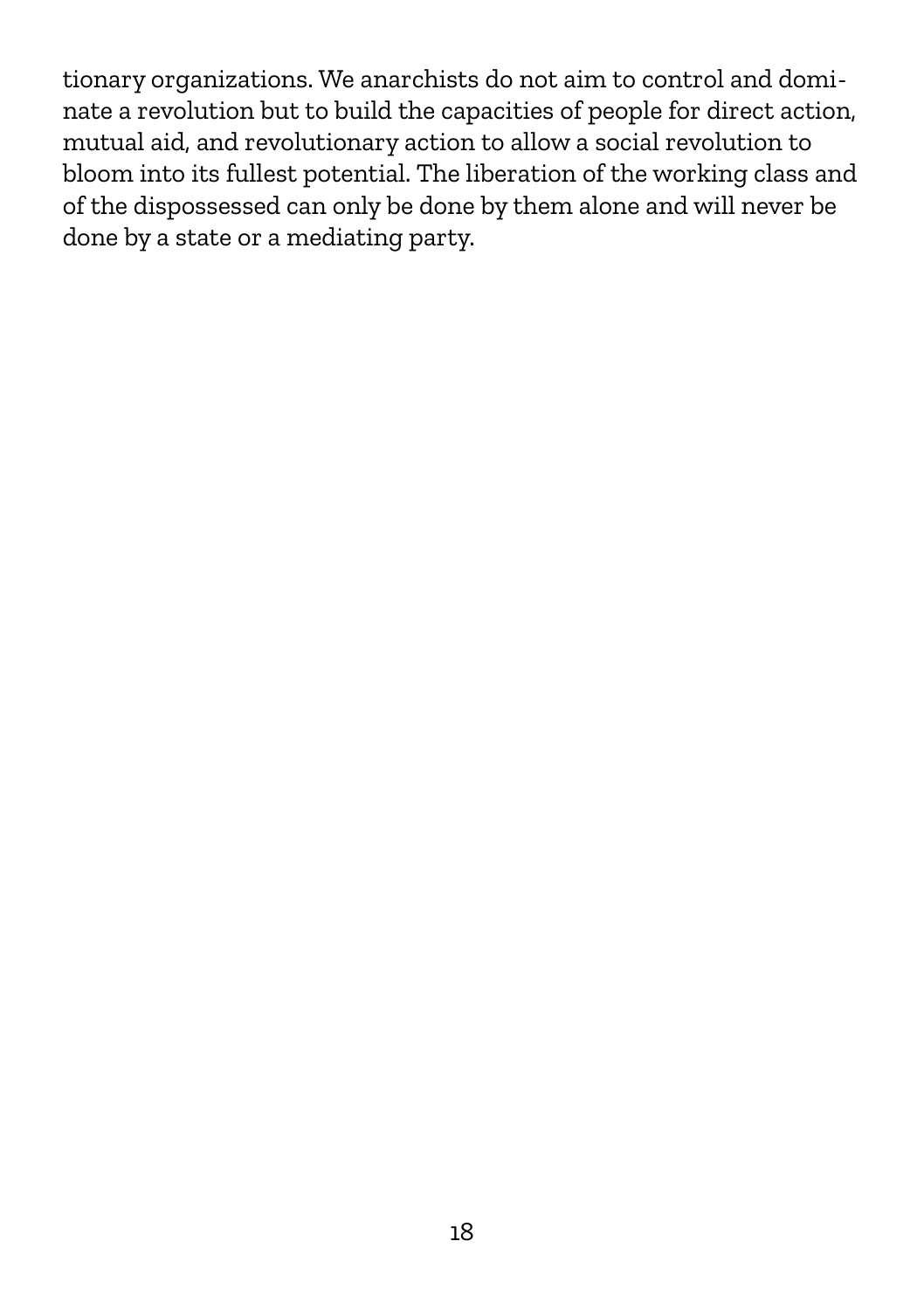tionary organizations. We anarchists do not aim to control and dominate a revolution but to build the capacities of people for direct action, mutual aid, and revolutionary action to allow a social revolution to bloom into its fullest potential. The liberation of the working class and of the dispossessed can only be done by them alone and will never be done by a state or a mediating party.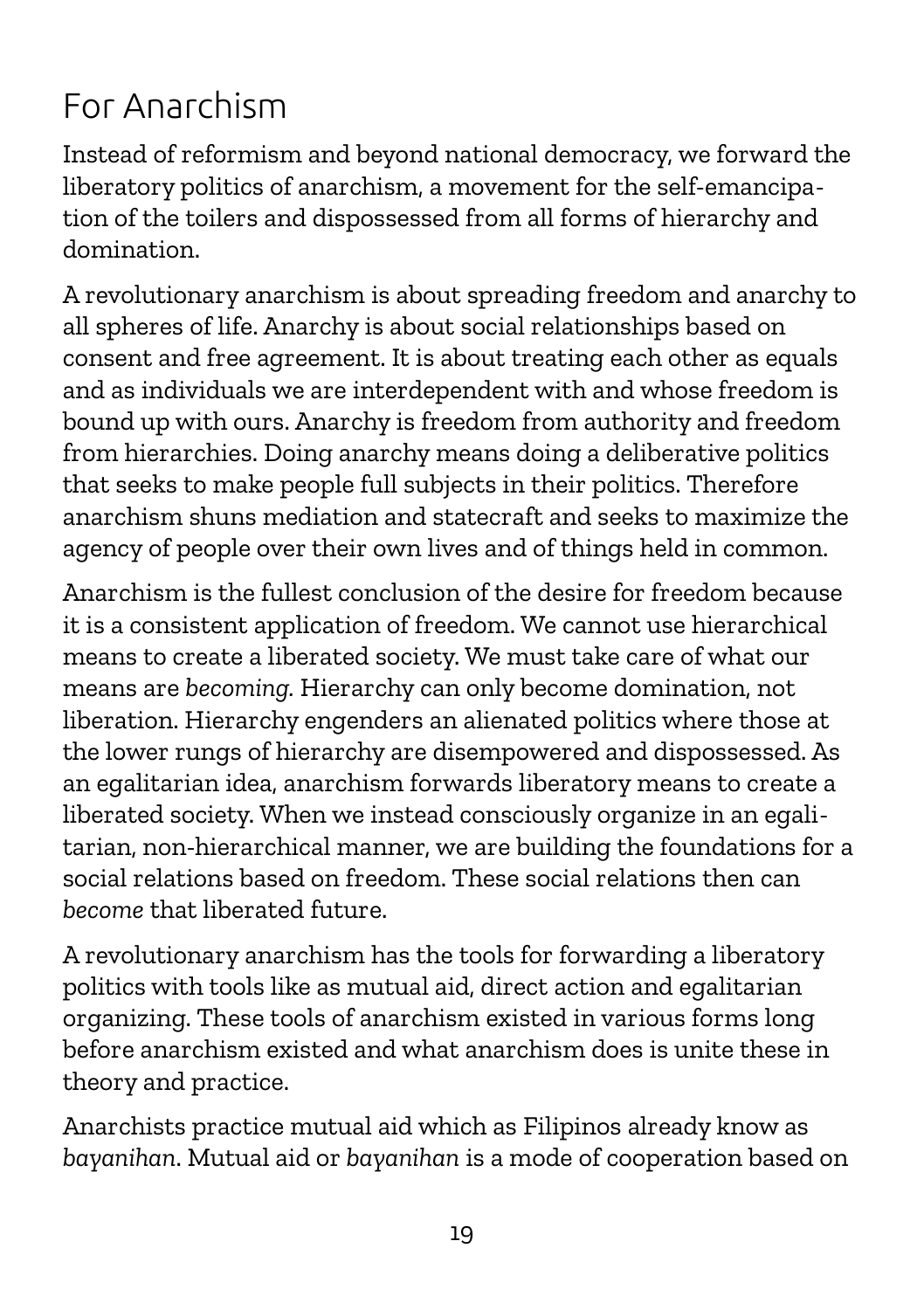#### For Anarchism

Instead of reformism and beyond national democracy, we forward the liberatory politics of anarchism, a movement for the self-emancipation of the toilers and dispossessed from all forms of hierarchy and domination.

A revolutionary anarchism is about spreading freedom and anarchy to all spheres of life. Anarchy is about social relationships based on consent and free agreement. It is about treating each other as equals and as individuals we are interdependent with and whose freedom is bound up with ours. Anarchy is freedom from authority and freedom from hierarchies. Doing anarchy means doing a deliberative politics that seeks to make people full subjects in their politics. Therefore anarchism shuns mediation and statecraft and seeks to maximize the agency of people over their own lives and of things held in common.

Anarchism is the fullest conclusion of the desire for freedom because it is a consistent application of freedom. We cannot use hierarchical means to create a liberated society. We must take care of what our means are *becoming.* Hierarchy can only become domination, not liberation. Hierarchy engenders an alienated politics where those at the lower rungs of hierarchy are disempowered and dispossessed. As an egalitarian idea, anarchism forwards liberatory means to create a liberated society. When we instead consciously organize in an egalitarian, non-hierarchical manner, we are building the foundations for a social relations based on freedom. These social relations then can *become* that liberated future.

A revolutionary anarchism has the tools for forwarding a liberatory politics with tools like as mutual aid, direct action and egalitarian organizing. These tools of anarchism existed in various forms long before anarchism existed and what anarchism does is unite these in theory and practice.

Anarchists practice mutual aid which as Filipinos already know as *bayanihan*. Mutual aid or *bayanihan* is a mode of cooperation based on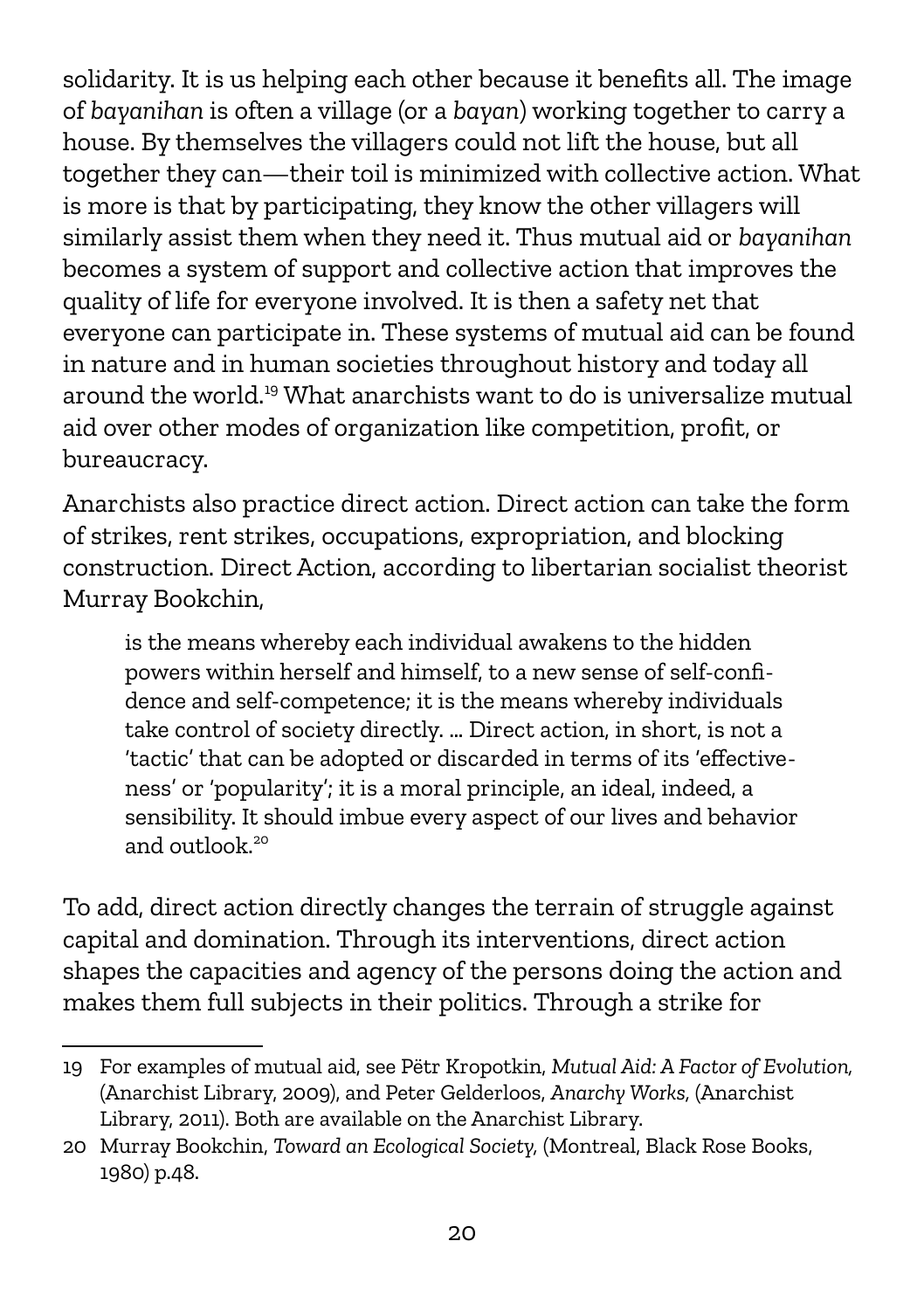solidarity. It is us helping each other because it benefits all. The image of *bayanihan* is often a village (or a *bayan*) working together to carry a house. By themselves the villagers could not lift the house, but all together they can—their toil is minimized with collective action. What is more is that by participating, they know the other villagers will similarly assist them when they need it. Thus mutual aid or *bayanihan* becomes a system of support and collective action that improves the quality of life for everyone involved. It is then a safety net that everyone can participate in. These systems of mutual aid can be found in nature and in human societies throughout history and today all around the world.[19](#page-19-0) What anarchists want to do is universalize mutual aid over other modes of organization like competition, profit, or bureaucracy.

Anarchists also practice direct action. Direct action can take the form of strikes, rent strikes, occupations, expropriation, and blocking construction. Direct Action, according to libertarian socialist theorist Murray Bookchin,

is the means whereby each individual awakens to the hidden powers within herself and himself, to a new sense of self-confidence and self-competence; it is the means whereby individuals take control of society directly. … Direct action, in short, is not a 'tactic' that can be adopted or discarded in terms of its 'effectiveness' or 'popularity'; it is a moral principle, an ideal, indeed, a sensibility. It should imbue every aspect of our lives and behavior and outlook<sup>[20](#page-19-1)</sup>

To add, direct action directly changes the terrain of struggle against capital and domination. Through its interventions, direct action shapes the capacities and agency of the persons doing the action and makes them full subjects in their politics. Through a strike for

<span id="page-19-0"></span><sup>19</sup> For examples of mutual aid, see Pëtr Kropotkin, *Mutual Aid: A Factor of Evolution,*  (Anarchist Library, 2009), and Peter Gelderloos, *Anarchy Works,* (Anarchist Library, 2011). Both are available on the Anarchist Library.

<span id="page-19-1"></span><sup>20</sup> Murray Bookchin, *Toward an Ecological Society,* (Montreal, Black Rose Books, 1980) p.48.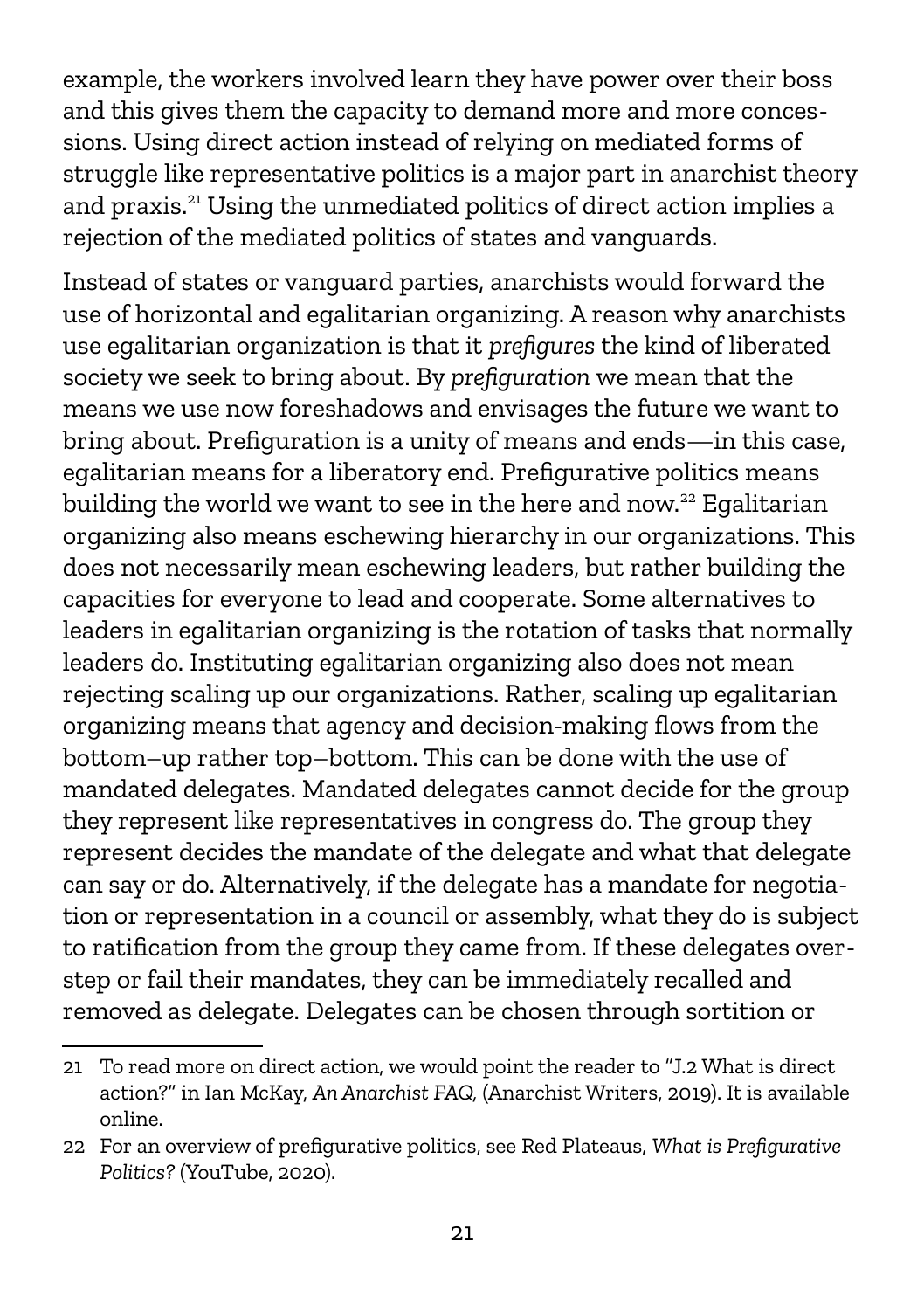example, the workers involved learn they have power over their boss and this gives them the capacity to demand more and more concessions. Using direct action instead of relying on mediated forms of struggle like representative politics is a major part in anarchist theory and praxis.[21](#page-20-0) Using the unmediated politics of direct action implies a rejection of the mediated politics of states and vanguards.

Instead of states or vanguard parties, anarchists would forward the use of horizontal and egalitarian organizing. A reason why anarchists use egalitarian organization is that it *prefigures* the kind of liberated society we seek to bring about. By *prefiguration* we mean that the means we use now foreshadows and envisages the future we want to bring about. Prefiguration is a unity of means and ends—in this case, egalitarian means for a liberatory end. Prefigurative politics means building the world we want to see in the here and now.<sup>[22](#page-20-1)</sup> Egalitarian organizing also means eschewing hierarchy in our organizations. This does not necessarily mean eschewing leaders, but rather building the capacities for everyone to lead and cooperate. Some alternatives to leaders in egalitarian organizing is the rotation of tasks that normally leaders do. Instituting egalitarian organizing also does not mean rejecting scaling up our organizations. Rather, scaling up egalitarian organizing means that agency and decision-making flows from the bottom–up rather top–bottom. This can be done with the use of mandated delegates. Mandated delegates cannot decide for the group they represent like representatives in congress do. The group they represent decides the mandate of the delegate and what that delegate can say or do. Alternatively, if the delegate has a mandate for negotiation or representation in a council or assembly, what they do is subject to ratification from the group they came from. If these delegates overstep or fail their mandates, they can be immediately recalled and removed as delegate. Delegates can be chosen through sortition or

<span id="page-20-0"></span><sup>21</sup> To read more on direct action, we would point the reader to "J.2 What is direct action?" in Ian McKay, *An Anarchist FAQ,* (Anarchist Writers, 2019). It is available online.

<span id="page-20-1"></span><sup>22</sup> For an overview of prefigurative politics, see Red Plateaus, *What is Prefigurative Politics?* (YouTube, 2020).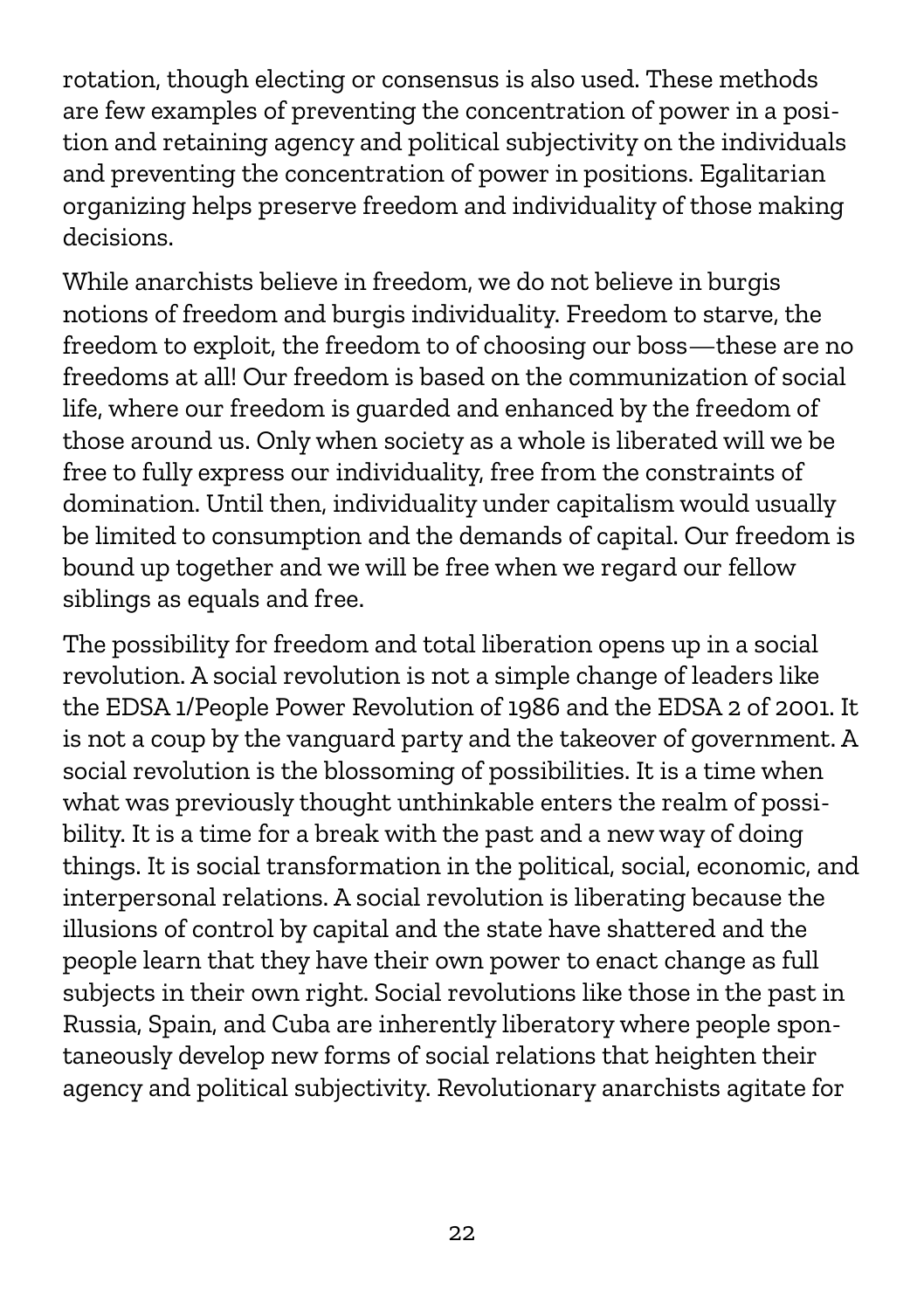rotation, though electing or consensus is also used. These methods are few examples of preventing the concentration of power in a position and retaining agency and political subjectivity on the individuals and preventing the concentration of power in positions. Egalitarian organizing helps preserve freedom and individuality of those making decisions.

While anarchists believe in freedom, we do not believe in burgis notions of freedom and burgis individuality. Freedom to starve, the freedom to exploit, the freedom to of choosing our boss—these are no freedoms at all! Our freedom is based on the communization of social life, where our freedom is guarded and enhanced by the freedom of those around us. Only when society as a whole is liberated will we be free to fully express our individuality, free from the constraints of domination. Until then, individuality under capitalism would usually be limited to consumption and the demands of capital. Our freedom is bound up together and we will be free when we regard our fellow siblings as equals and free.

The possibility for freedom and total liberation opens up in a social revolution. A social revolution is not a simple change of leaders like the EDSA 1/People Power Revolution of 1986 and the EDSA 2 of 2001. It is not a coup by the vanguard party and the takeover of government. A social revolution is the blossoming of possibilities. It is a time when what was previously thought unthinkable enters the realm of possibility. It is a time for a break with the past and a new way of doing things. It is social transformation in the political, social, economic, and interpersonal relations. A social revolution is liberating because the illusions of control by capital and the state have shattered and the people learn that they have their own power to enact change as full subjects in their own right. Social revolutions like those in the past in Russia, Spain, and Cuba are inherently liberatory where people spontaneously develop new forms of social relations that heighten their agency and political subjectivity. Revolutionary anarchists agitate for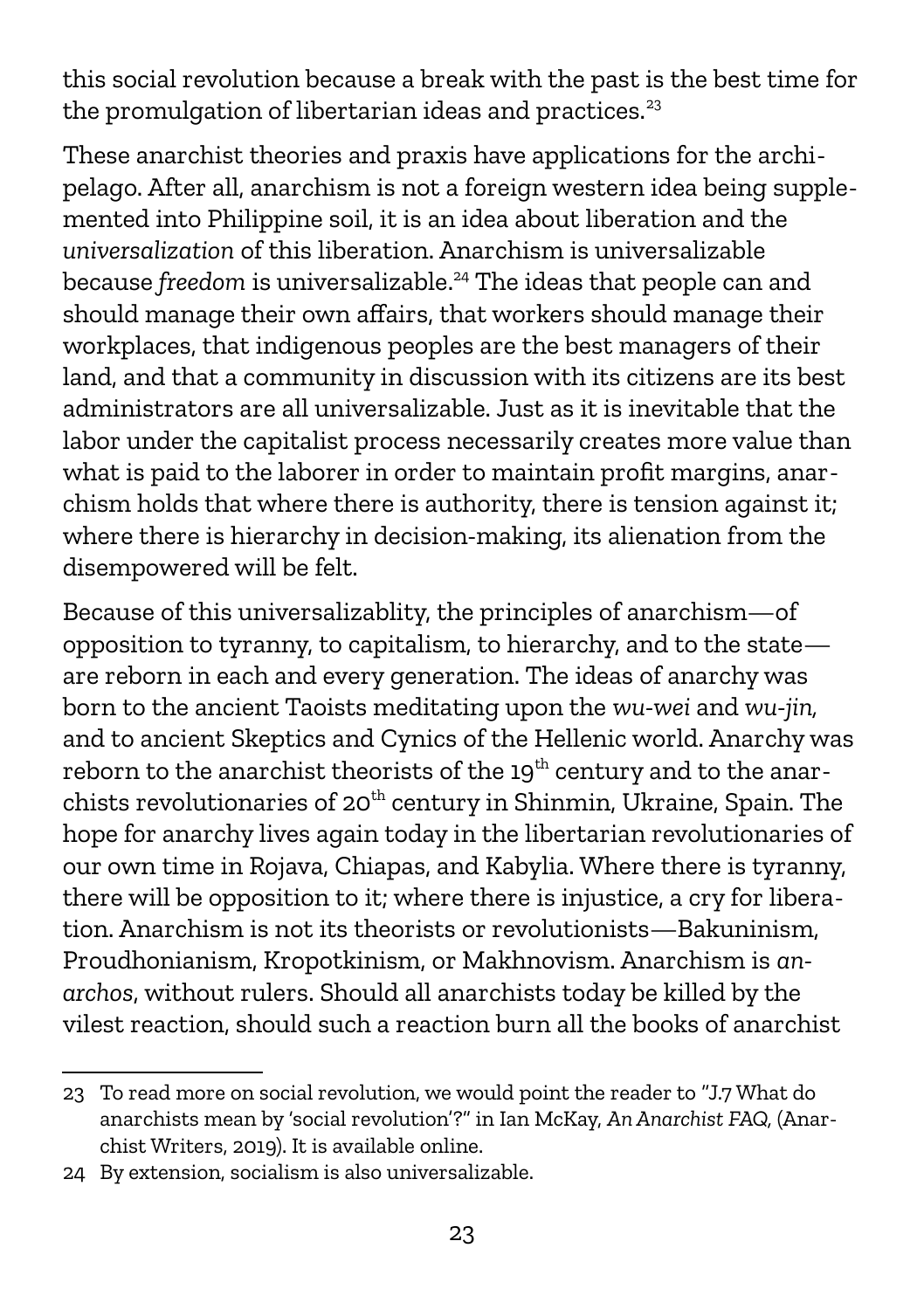this social revolution because a break with the past is the best time for the promulgation of libertarian ideas and practices. $23$ 

These anarchist theories and praxis have applications for the archipelago. After all, anarchism is not a foreign western idea being supplemented into Philippine soil, it is an idea about liberation and the *universalization* of this liberation. Anarchism is universalizable because *freedom* is universalizable. [24](#page-22-1) The ideas that people can and should manage their own affairs, that workers should manage their workplaces, that indigenous peoples are the best managers of their land, and that a community in discussion with its citizens are its best administrators are all universalizable. Just as it is inevitable that the labor under the capitalist process necessarily creates more value than what is paid to the laborer in order to maintain profit margins, anarchism holds that where there is authority, there is tension against it; where there is hierarchy in decision-making, its alienation from the disempowered will be felt.

Because of this universalizablity, the principles of anarchism—of opposition to tyranny, to capitalism, to hierarchy, and to the state are reborn in each and every generation. The ideas of anarchy was born to the ancient Taoists meditating upon the *wu-wei* and *wu-jin,* and to ancient Skeptics and Cynics of the Hellenic world. Anarchy was reborn to the anarchist theorists of the  $19<sup>th</sup>$  century and to the anarchists revolutionaries of 20<sup>th</sup> century in Shinmin, Ukraine, Spain. The hope for anarchy lives again today in the libertarian revolutionaries of our own time in Rojava, Chiapas, and Kabylia. Where there is tyranny, there will be opposition to it; where there is injustice, a cry for liberation. Anarchism is not its theorists or revolutionists—Bakuninism, Proudhonianism, Kropotkinism, or Makhnovism. Anarchism is *anarchos*, without rulers. Should all anarchists today be killed by the vilest reaction, should such a reaction burn all the books of anarchist

<span id="page-22-0"></span><sup>23</sup> To read more on social revolution, we would point the reader to "J.7 What do anarchists mean by 'social revolution'?" in Ian McKay, *An Anarchist FAQ,* (Anarchist Writers, 2019). It is available online.

<span id="page-22-1"></span><sup>24</sup> By extension, socialism is also universalizable.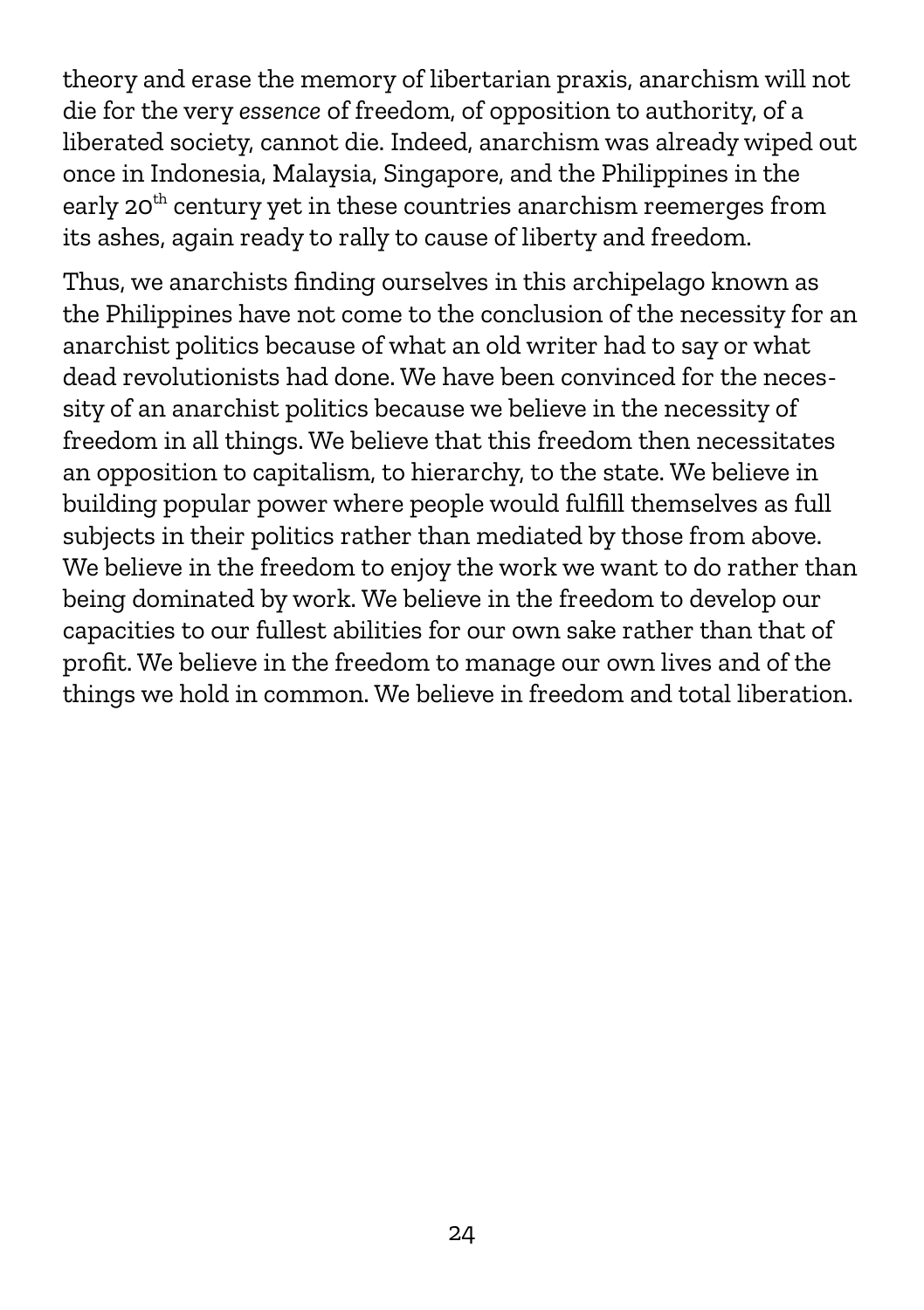theory and erase the memory of libertarian praxis, anarchism will not die for the very *essence* of freedom, of opposition to authority, of a liberated society, cannot die. Indeed, anarchism was already wiped out once in Indonesia, Malaysia, Singapore, and the Philippines in the early 20<sup>th</sup> century yet in these countries anarchism reemerges from its ashes, again ready to rally to cause of liberty and freedom.

Thus, we anarchists finding ourselves in this archipelago known as the Philippines have not come to the conclusion of the necessity for an anarchist politics because of what an old writer had to say or what dead revolutionists had done. We have been convinced for the necessity of an anarchist politics because we believe in the necessity of freedom in all things. We believe that this freedom then necessitates an opposition to capitalism, to hierarchy, to the state. We believe in building popular power where people would fulfill themselves as full subjects in their politics rather than mediated by those from above. We believe in the freedom to enjoy the work we want to do rather than being dominated by work. We believe in the freedom to develop our capacities to our fullest abilities for our own sake rather than that of profit. We believe in the freedom to manage our own lives and of the things we hold in common. We believe in freedom and total liberation.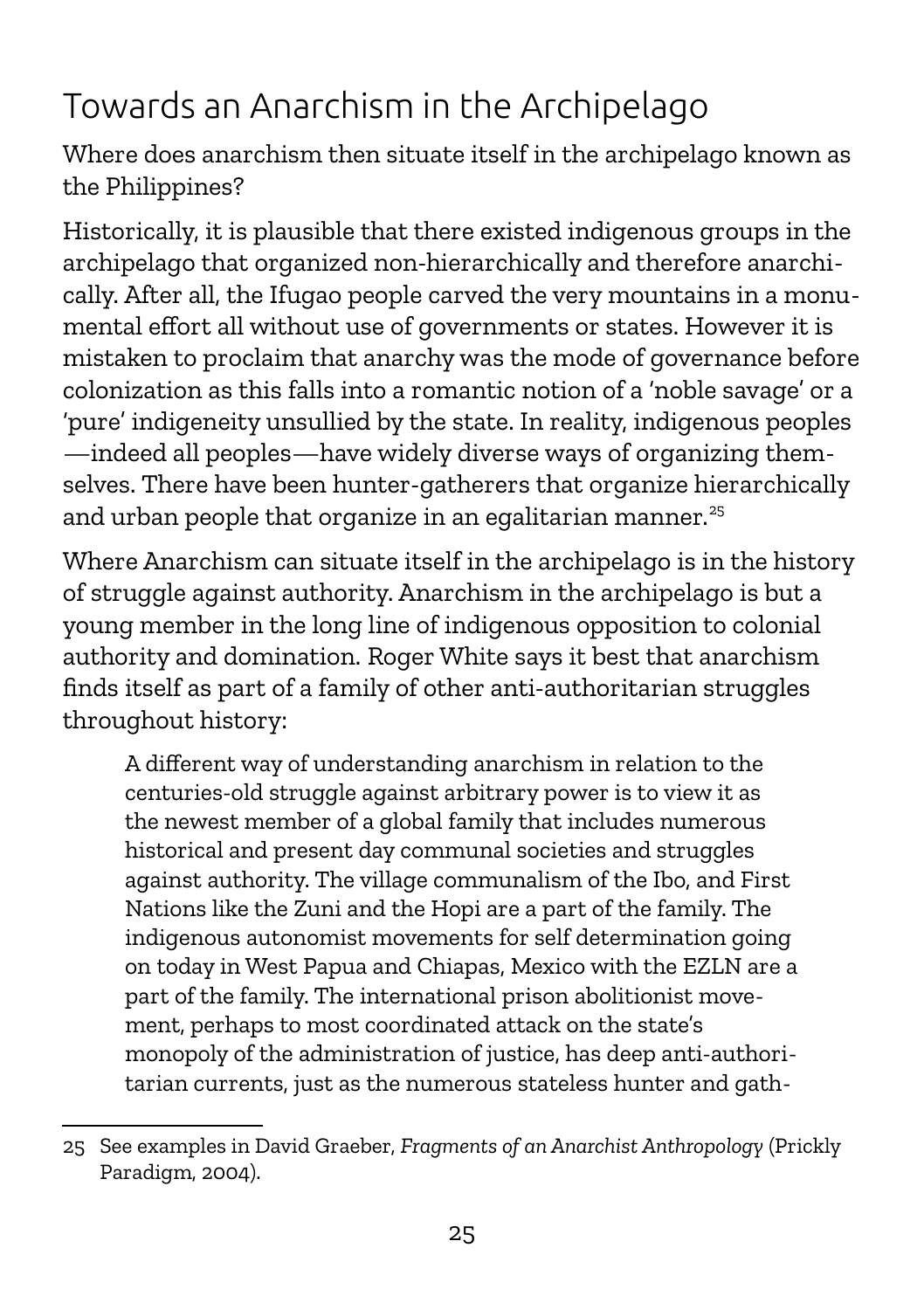# Towards an Anarchism in the Archipelago

Where does anarchism then situate itself in the archipelago known as the Philippines?

Historically, it is plausible that there existed indigenous groups in the archipelago that organized non-hierarchically and therefore anarchically. After all, the Ifugao people carved the very mountains in a monumental effort all without use of governments or states. However it is mistaken to proclaim that anarchy was the mode of governance before colonization as this falls into a romantic notion of a 'noble savage' or a 'pure' indigeneity unsullied by the state. In reality, indigenous peoples —indeed all peoples—have widely diverse ways of organizing themselves. There have been hunter-gatherers that organize hierarchically and urban people that organize in an egalitarian manner.<sup>[25](#page-24-0)</sup>

Where Anarchism can situate itself in the archipelago is in the history of struggle against authority. Anarchism in the archipelago is but a young member in the long line of indigenous opposition to colonial authority and domination. Roger White says it best that anarchism finds itself as part of a family of other anti-authoritarian struggles throughout history:

A different way of understanding anarchism in relation to the centuries-old struggle against arbitrary power is to view it as the newest member of a global family that includes numerous historical and present day communal societies and struggles against authority. The village communalism of the Ibo, and First Nations like the Zuni and the Hopi are a part of the family. The indigenous autonomist movements for self determination going on today in West Papua and Chiapas, Mexico with the EZLN are a part of the family. The international prison abolitionist movement, perhaps to most coordinated attack on the state's monopoly of the administration of justice, has deep anti-authoritarian currents, just as the numerous stateless hunter and gath-

<span id="page-24-0"></span><sup>25</sup> See examples in David Graeber, *Fragments of an Anarchist Anthropology* (Prickly Paradigm, 2004).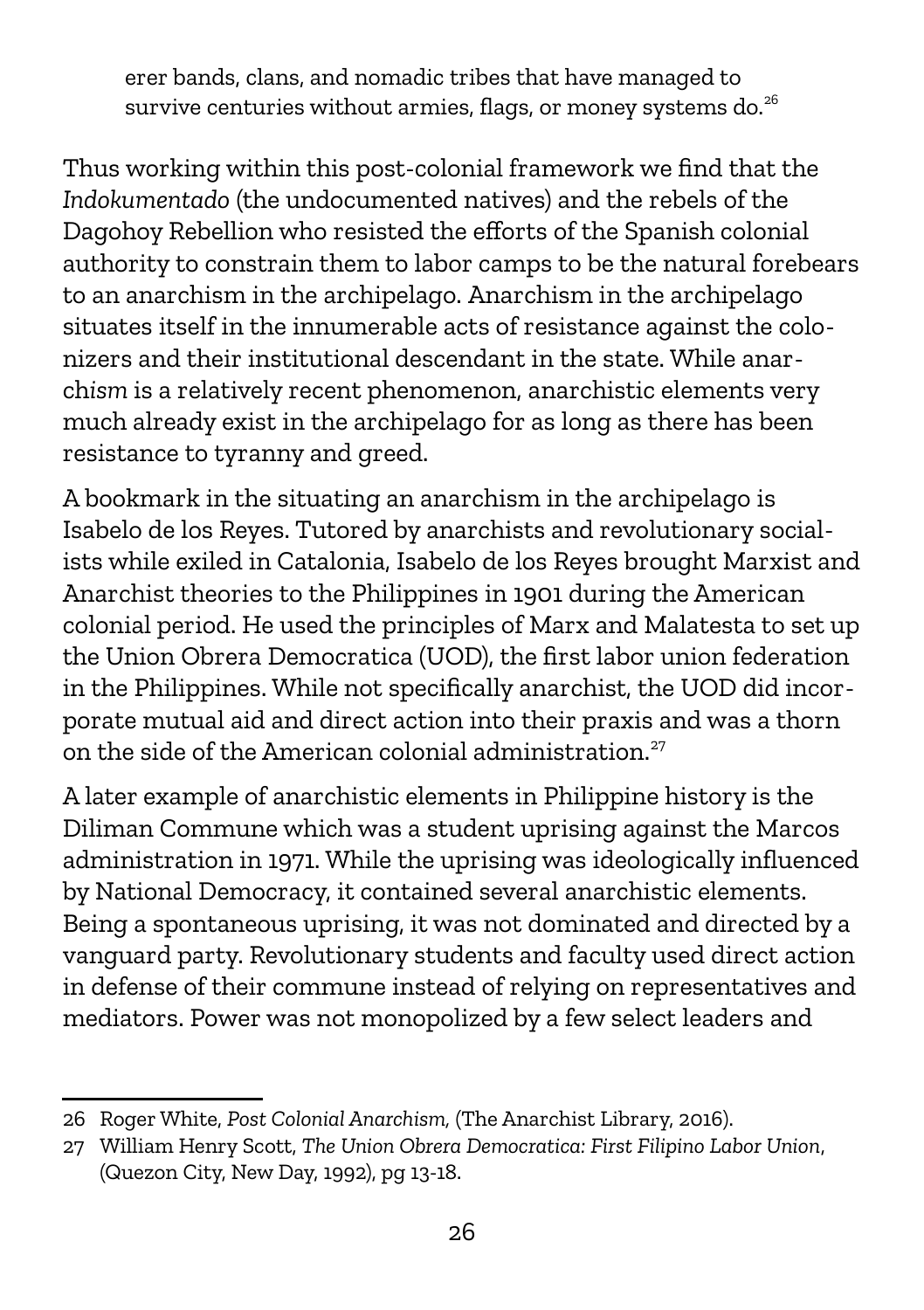erer bands, clans, and nomadic tribes that have managed to survive centuries without armies, flags, or money systems do.<sup>[26](#page-25-0)</sup>

Thus working within this post-colonial framework we find that the *Indokumentado* (the undocumented natives) and the rebels of the Dagohoy Rebellion who resisted the efforts of the Spanish colonial authority to constrain them to labor camps to be the natural forebears to an anarchism in the archipelago. Anarchism in the archipelago situates itself in the innumerable acts of resistance against the colonizers and their institutional descendant in the state. While anarch*ism* is a relatively recent phenomenon, anarchistic elements very much already exist in the archipelago for as long as there has been resistance to tyranny and greed.

A bookmark in the situating an anarchism in the archipelago is Isabelo de los Reyes. Tutored by anarchists and revolutionary socialists while exiled in Catalonia, Isabelo de los Reyes brought Marxist and Anarchist theories to the Philippines in 1901 during the American colonial period. He used the principles of Marx and Malatesta to set up the Union Obrera Democratica (UOD), the first labor union federation in the Philippines. While not specifically anarchist, the UOD did incorporate mutual aid and direct action into their praxis and was a thorn on the side of the American colonial administration. $27$ 

A later example of anarchistic elements in Philippine history is the Diliman Commune which was a student uprising against the Marcos administration in 1971. While the uprising was ideologically influenced by National Democracy, it contained several anarchistic elements. Being a spontaneous uprising, it was not dominated and directed by a vanguard party. Revolutionary students and faculty used direct action in defense of their commune instead of relying on representatives and mediators. Power was not monopolized by a few select leaders and

<span id="page-25-0"></span><sup>26</sup> Roger White, *Post Colonial Anarchism,* (The Anarchist Library, 2016).

<span id="page-25-1"></span><sup>27</sup> William Henry Scott, *The Union Obrera Democratica: First Filipino Labor Union*, (Quezon City, New Day, 1992), pg 13-18.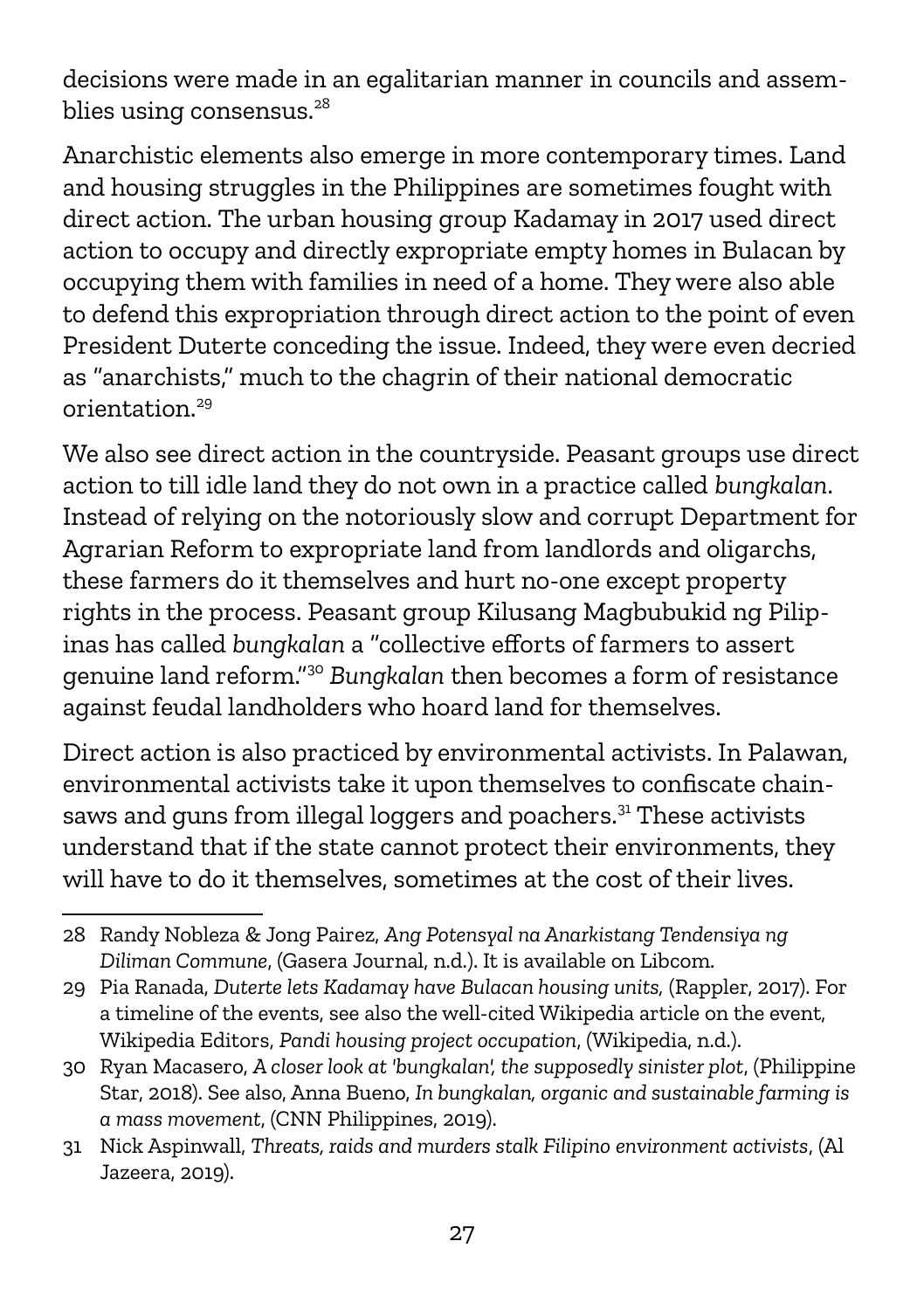decisions were made in an egalitarian manner in councils and assem-blies using consensus.<sup>[28](#page-26-0)</sup>

Anarchistic elements also emerge in more contemporary times. Land and housing struggles in the Philippines are sometimes fought with direct action. The urban housing group Kadamay in 2017 used direct action to occupy and directly expropriate empty homes in Bulacan by occupying them with families in need of a home. They were also able to defend this expropriation through direct action to the point of even President Duterte conceding the issue. Indeed, they were even decried as "anarchists," much to the chagrin of their national democratic orientation.[29](#page-26-1)

We also see direct action in the countryside. Peasant groups use direct action to till idle land they do not own in a practice called *bungkalan*. Instead of relying on the notoriously slow and corrupt Department for Agrarian Reform to expropriate land from landlords and oligarchs, these farmers do it themselves and hurt no-one except property rights in the process. Peasant group Kilusang Magbubukid ng Pilipinas has called *bungkalan* a "collective efforts of farmers to assert genuine land reform."[30](#page-26-2) *Bungkalan* then becomes a form of resistance against feudal landholders who hoard land for themselves.

Direct action is also practiced by environmental activists. In Palawan, environmental activists take it upon themselves to confiscate chain-saws and guns from illegal loggers and poachers.<sup>[31](#page-26-3)</sup> These activists understand that if the state cannot protect their environments, they will have to do it themselves, sometimes at the cost of their lives.

<span id="page-26-0"></span><sup>28</sup> Randy Nobleza & Jong Pairez, *Ang Potensyal na Anarkistang Tendensiya ng Diliman Commune*, (Gasera Journal, n.d.). It is available on Libcom.

<span id="page-26-1"></span><sup>29</sup> Pia Ranada, *Duterte lets Kadamay have Bulacan housing units,* (Rappler, 2017). For a timeline of the events, see also the well-cited Wikipedia article on the event, Wikipedia Editors, *Pandi housing project occupation*, (Wikipedia, n.d.).

<span id="page-26-2"></span><sup>30</sup> Ryan Macasero, *A closer look at 'bungkalan', the supposedly sinister plot*, (Philippine Star, 2018). See also, Anna Bueno, *In bungkalan, organic and sustainable farming is a mass movement*, (CNN Philippines, 2019).

<span id="page-26-3"></span><sup>31</sup> Nick Aspinwall, *Threats, raids and murders stalk Filipino environment activists*, (Al Jazeera, 2019).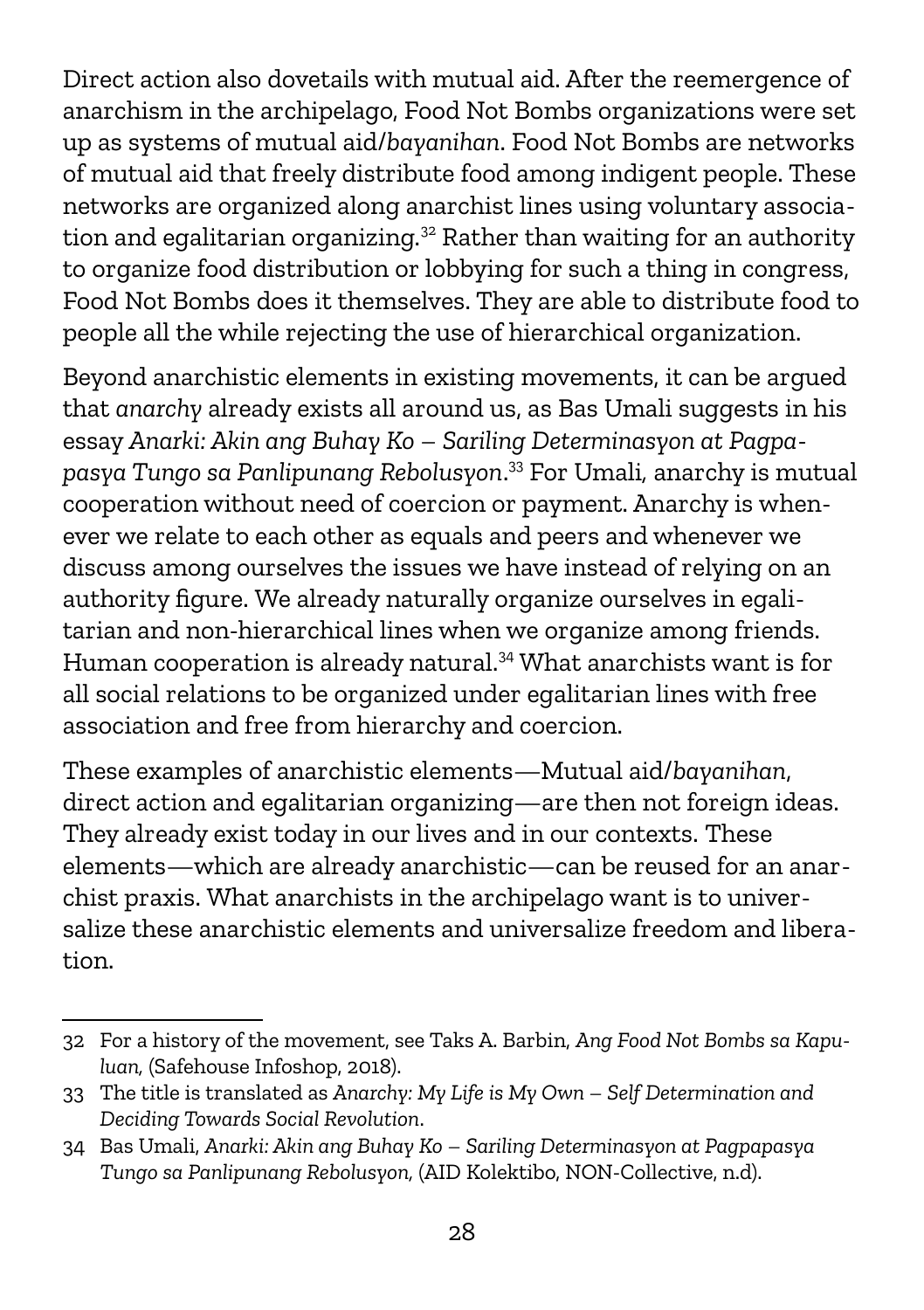Direct action also dovetails with mutual aid. After the reemergence of anarchism in the archipelago, Food Not Bombs organizations were set up as systems of mutual aid/*bayanihan*. Food Not Bombs are networks of mutual aid that freely distribute food among indigent people. These networks are organized along anarchist lines using voluntary associa-tion and egalitarian organizing.<sup>[32](#page-27-0)</sup> Rather than waiting for an authority to organize food distribution or lobbying for such a thing in congress, Food Not Bombs does it themselves. They are able to distribute food to people all the while rejecting the use of hierarchical organization.

Beyond anarchistic elements in existing movements, it can be argued that *anarchy* already exists all around us, as Bas Umali suggests in his essay *Anarki: Akin ang Buhay Ko – Sariling Determinasyon at Pagpapasya Tungo sa Panlipunang Rebolusyon*. [33](#page-27-1) For Umali*,* anarchy is mutual cooperation without need of coercion or payment. Anarchy is whenever we relate to each other as equals and peers and whenever we discuss among ourselves the issues we have instead of relying on an authority figure. We already naturally organize ourselves in egalitarian and non-hierarchical lines when we organize among friends. Human cooperation is already natural.<sup>[34](#page-27-2)</sup> What anarchists want is for all social relations to be organized under egalitarian lines with free association and free from hierarchy and coercion.

These examples of anarchistic elements—Mutual aid/*bayanihan*, direct action and egalitarian organizing—are then not foreign ideas. They already exist today in our lives and in our contexts. These elements—which are already anarchistic—can be reused for an anarchist praxis. What anarchists in the archipelago want is to universalize these anarchistic elements and universalize freedom and liberation.

<span id="page-27-0"></span><sup>32</sup> For a history of the movement, see Taks A. Barbin, *Ang Food Not Bombs sa Kapuluan,* (Safehouse Infoshop, 2018).

<span id="page-27-1"></span><sup>33</sup> The title is translated as *Anarchy: My Life is My Own – Self Determination and Deciding Towards Social Revolution*.

<span id="page-27-2"></span><sup>34</sup> Bas Umali, *Anarki: Akin ang Buhay Ko – Sariling Determinasyon at Pagpapasya Tungo sa Panlipunang Rebolusyon,* (AID Kolektibo, NON-Collective, n.d).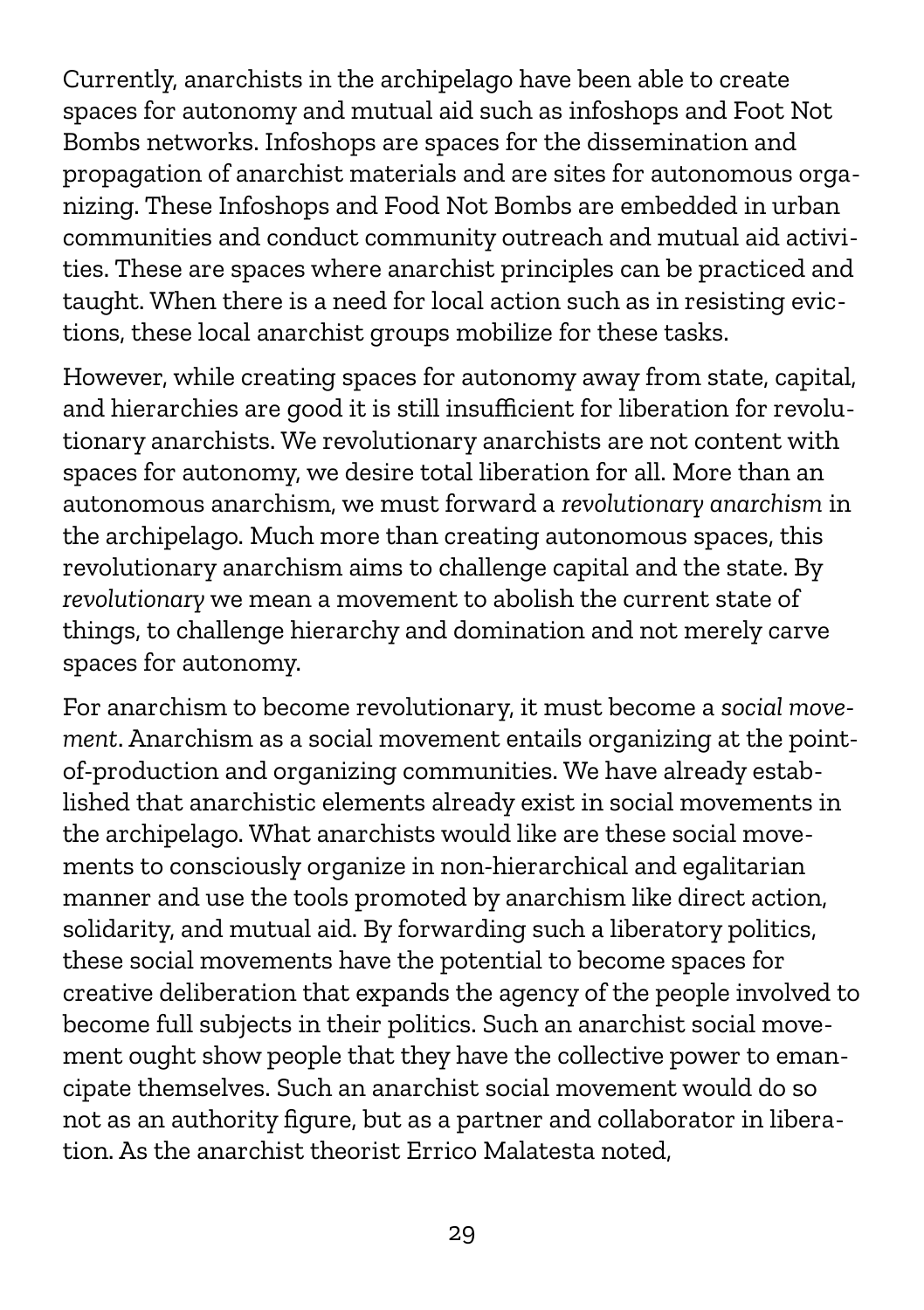Currently, anarchists in the archipelago have been able to create spaces for autonomy and mutual aid such as infoshops and Foot Not Bombs networks. Infoshops are spaces for the dissemination and propagation of anarchist materials and are sites for autonomous organizing. These Infoshops and Food Not Bombs are embedded in urban communities and conduct community outreach and mutual aid activities. These are spaces where anarchist principles can be practiced and taught. When there is a need for local action such as in resisting evictions, these local anarchist groups mobilize for these tasks.

However, while creating spaces for autonomy away from state, capital, and hierarchies are good it is still insufficient for liberation for revolutionary anarchists. We revolutionary anarchists are not content with spaces for autonomy, we desire total liberation for all. More than an autonomous anarchism, we must forward a *revolutionary anarchism* in the archipelago. Much more than creating autonomous spaces, this revolutionary anarchism aims to challenge capital and the state. By *revolutionary* we mean a movement to abolish the current state of things, to challenge hierarchy and domination and not merely carve spaces for autonomy.

For anarchism to become revolutionary, it must become a *social movement*. Anarchism as a social movement entails organizing at the pointof-production and organizing communities. We have already established that anarchistic elements already exist in social movements in the archipelago. What anarchists would like are these social movements to consciously organize in non-hierarchical and egalitarian manner and use the tools promoted by anarchism like direct action, solidarity, and mutual aid. By forwarding such a liberatory politics, these social movements have the potential to become spaces for creative deliberation that expands the agency of the people involved to become full subjects in their politics. Such an anarchist social movement ought show people that they have the collective power to emancipate themselves. Such an anarchist social movement would do so not as an authority figure, but as a partner and collaborator in liberation. As the anarchist theorist Errico Malatesta noted,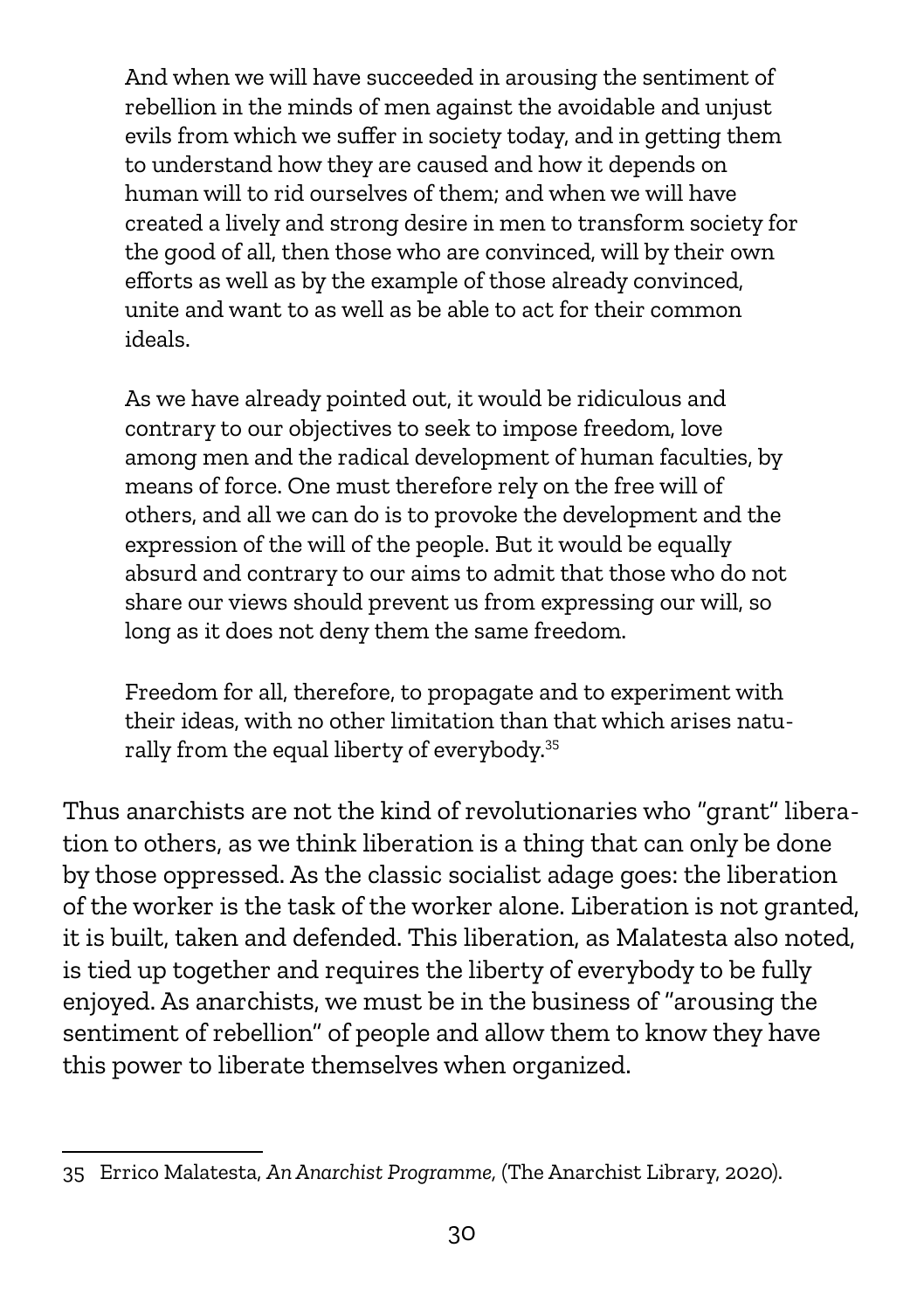And when we will have succeeded in arousing the sentiment of rebellion in the minds of men against the avoidable and unjust evils from which we suffer in society today, and in getting them to understand how they are caused and how it depends on human will to rid ourselves of them; and when we will have created a lively and strong desire in men to transform society for the good of all, then those who are convinced, will by their own efforts as well as by the example of those already convinced, unite and want to as well as be able to act for their common ideals.

As we have already pointed out, it would be ridiculous and contrary to our objectives to seek to impose freedom, love among men and the radical development of human faculties, by means of force. One must therefore rely on the free will of others, and all we can do is to provoke the development and the expression of the will of the people. But it would be equally absurd and contrary to our aims to admit that those who do not share our views should prevent us from expressing our will, so long as it does not deny them the same freedom.

Freedom for all, therefore, to propagate and to experiment with their ideas, with no other limitation than that which arises natu-rally from the equal liberty of everybody.<sup>[35](#page-29-0)</sup>

Thus anarchists are not the kind of revolutionaries who "grant" liberation to others, as we think liberation is a thing that can only be done by those oppressed. As the classic socialist adage goes: the liberation of the worker is the task of the worker alone. Liberation is not granted, it is built, taken and defended. This liberation, as Malatesta also noted, is tied up together and requires the liberty of everybody to be fully enjoyed. As anarchists, we must be in the business of "arousing the sentiment of rebellion" of people and allow them to know they have this power to liberate themselves when organized.

<span id="page-29-0"></span><sup>35</sup> Errico Malatesta, *An Anarchist Programme,* (The Anarchist Library, 2020).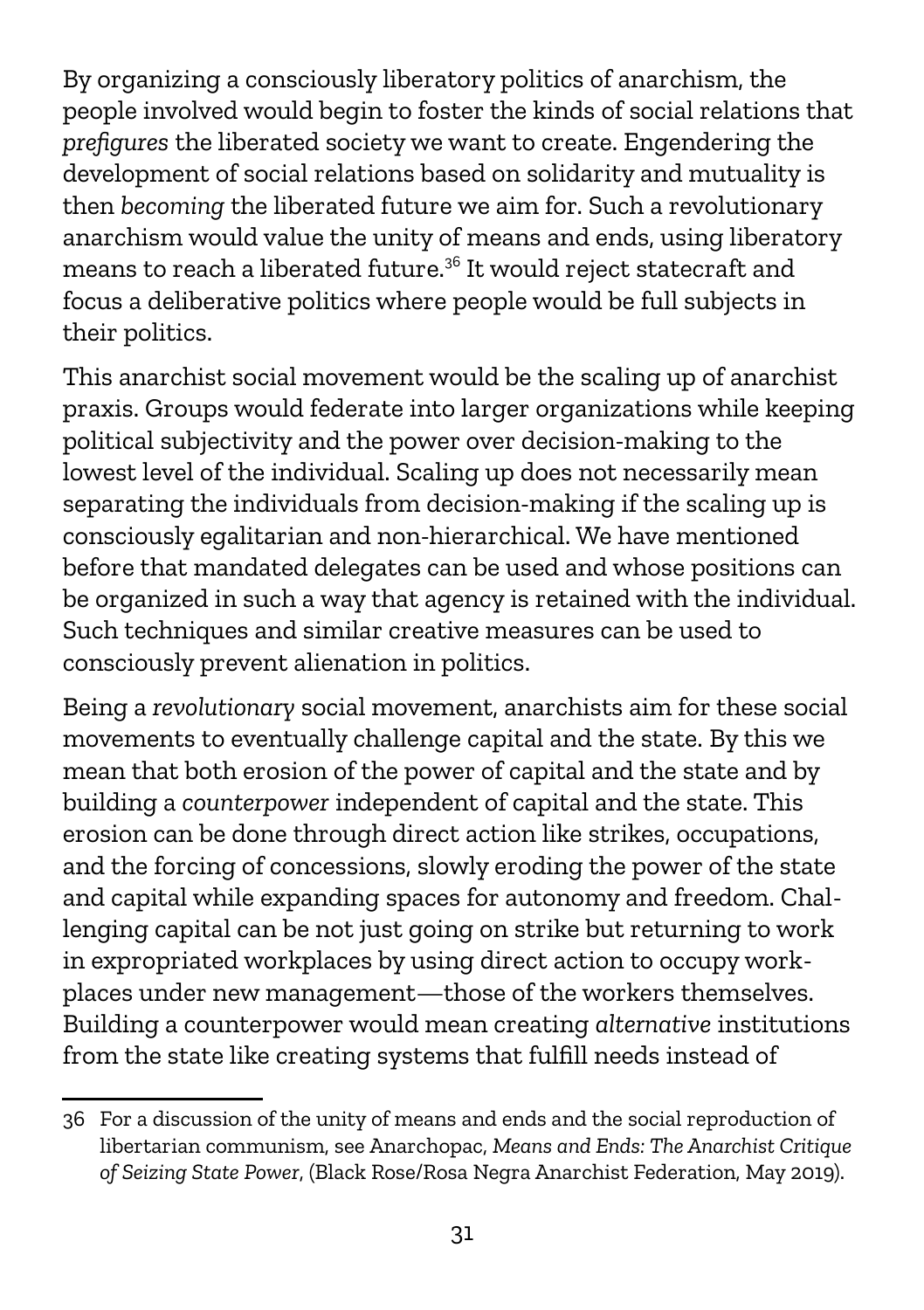By organizing a consciously liberatory politics of anarchism, the people involved would begin to foster the kinds of social relations that *prefigures* the liberated society we want to create. Engendering the development of social relations based on solidarity and mutuality is then *becoming* the liberated future we aim for. Such a revolutionary anarchism would value the unity of means and ends, using liberatory means to reach a liberated future.[36](#page-30-0) It would reject statecraft and focus a deliberative politics where people would be full subjects in their politics.

This anarchist social movement would be the scaling up of anarchist praxis. Groups would federate into larger organizations while keeping political subjectivity and the power over decision-making to the lowest level of the individual. Scaling up does not necessarily mean separating the individuals from decision-making if the scaling up is consciously egalitarian and non-hierarchical. We have mentioned before that mandated delegates can be used and whose positions can be organized in such a way that agency is retained with the individual. Such techniques and similar creative measures can be used to consciously prevent alienation in politics.

Being a *revolutionary* social movement, anarchists aim for these social movements to eventually challenge capital and the state. By this we mean that both erosion of the power of capital and the state and by building a *counterpower* independent of capital and the state. This erosion can be done through direct action like strikes, occupations, and the forcing of concessions, slowly eroding the power of the state and capital while expanding spaces for autonomy and freedom. Challenging capital can be not just going on strike but returning to work in expropriated workplaces by using direct action to occupy workplaces under new management—those of the workers themselves. Building a counterpower would mean creating *alternative* institutions from the state like creating systems that fulfill needs instead of

<span id="page-30-0"></span><sup>36</sup> For a discussion of the unity of means and ends and the social reproduction of libertarian communism, see Anarchopac, *Means and Ends: The Anarchist Critique of Seizing State Power*, (Black Rose/Rosa Negra Anarchist Federation, May 2019).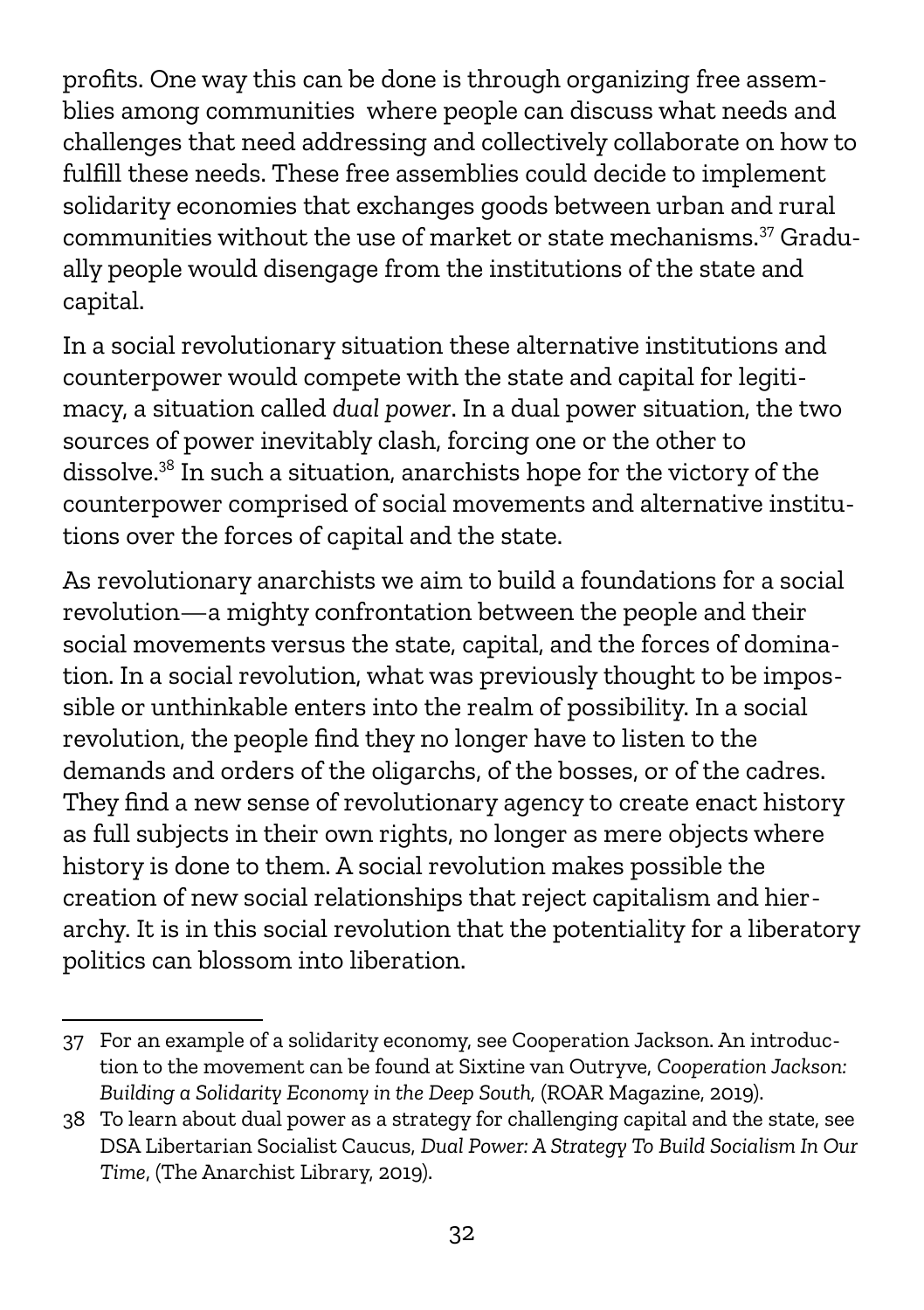profits. One way this can be done is through organizing free assemblies among communities where people can discuss what needs and challenges that need addressing and collectively collaborate on how to fulfill these needs. These free assemblies could decide to implement solidarity economies that exchanges goods between urban and rural communities without the use of market or state mechanisms.[37](#page-31-0) Gradually people would disengage from the institutions of the state and capital.

In a social revolutionary situation these alternative institutions and counterpower would compete with the state and capital for legitimacy, a situation called *dual power*. In a dual power situation, the two sources of power inevitably clash, forcing one or the other to dissolve.[38](#page-31-1) In such a situation, anarchists hope for the victory of the counterpower comprised of social movements and alternative institutions over the forces of capital and the state.

As revolutionary anarchists we aim to build a foundations for a social revolution—a mighty confrontation between the people and their social movements versus the state, capital, and the forces of domination. In a social revolution, what was previously thought to be impossible or unthinkable enters into the realm of possibility. In a social revolution, the people find they no longer have to listen to the demands and orders of the oligarchs, of the bosses, or of the cadres. They find a new sense of revolutionary agency to create enact history as full subjects in their own rights, no longer as mere objects where history is done to them. A social revolution makes possible the creation of new social relationships that reject capitalism and hierarchy. It is in this social revolution that the potentiality for a liberatory politics can blossom into liberation.

<span id="page-31-0"></span><sup>37</sup> For an example of a solidarity economy, see Cooperation Jackson. An introduction to the movement can be found at Sixtine van Outryve, *Cooperation Jackson: Building a Solidarity Economy in the Deep South,* (ROAR Magazine, 2019).

<span id="page-31-1"></span><sup>38</sup> To learn about dual power as a strategy for challenging capital and the state, see DSA Libertarian Socialist Caucus, *Dual Power: A Strategy To Build Socialism In Our Time*, (The Anarchist Library, 2019).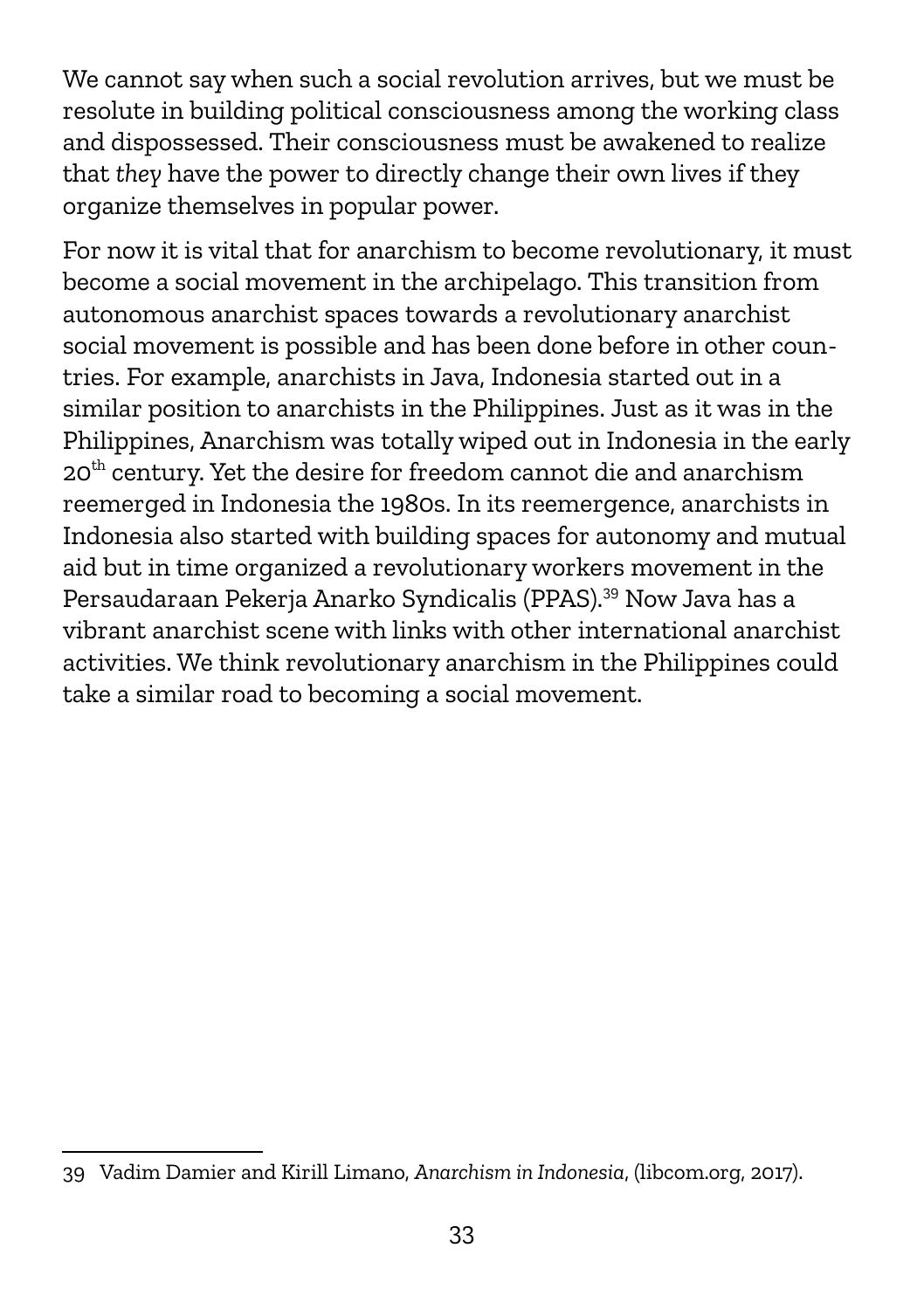We cannot say when such a social revolution arrives, but we must be resolute in building political consciousness among the working class and dispossessed. Their consciousness must be awakened to realize that *they* have the power to directly change their own lives if they organize themselves in popular power.

For now it is vital that for anarchism to become revolutionary, it must become a social movement in the archipelago. This transition from autonomous anarchist spaces towards a revolutionary anarchist social movement is possible and has been done before in other countries. For example, anarchists in Java, Indonesia started out in a similar position to anarchists in the Philippines. Just as it was in the Philippines, Anarchism was totally wiped out in Indonesia in the early 20<sup>th</sup> century. Yet the desire for freedom cannot die and anarchism reemerged in Indonesia the 1980s. In its reemergence, anarchists in Indonesia also started with building spaces for autonomy and mutual aid but in time organized a revolutionary workers movement in the Persaudaraan Pekerja Anarko Syndicalis (PPAS).[39](#page-32-0) Now Java has a vibrant anarchist scene with links with other international anarchist activities. We think revolutionary anarchism in the Philippines could take a similar road to becoming a social movement.

<span id="page-32-0"></span><sup>39</sup> Vadim Damier and Kirill Limano, *Anarchism in Indonesia*, (libcom.org, 2017).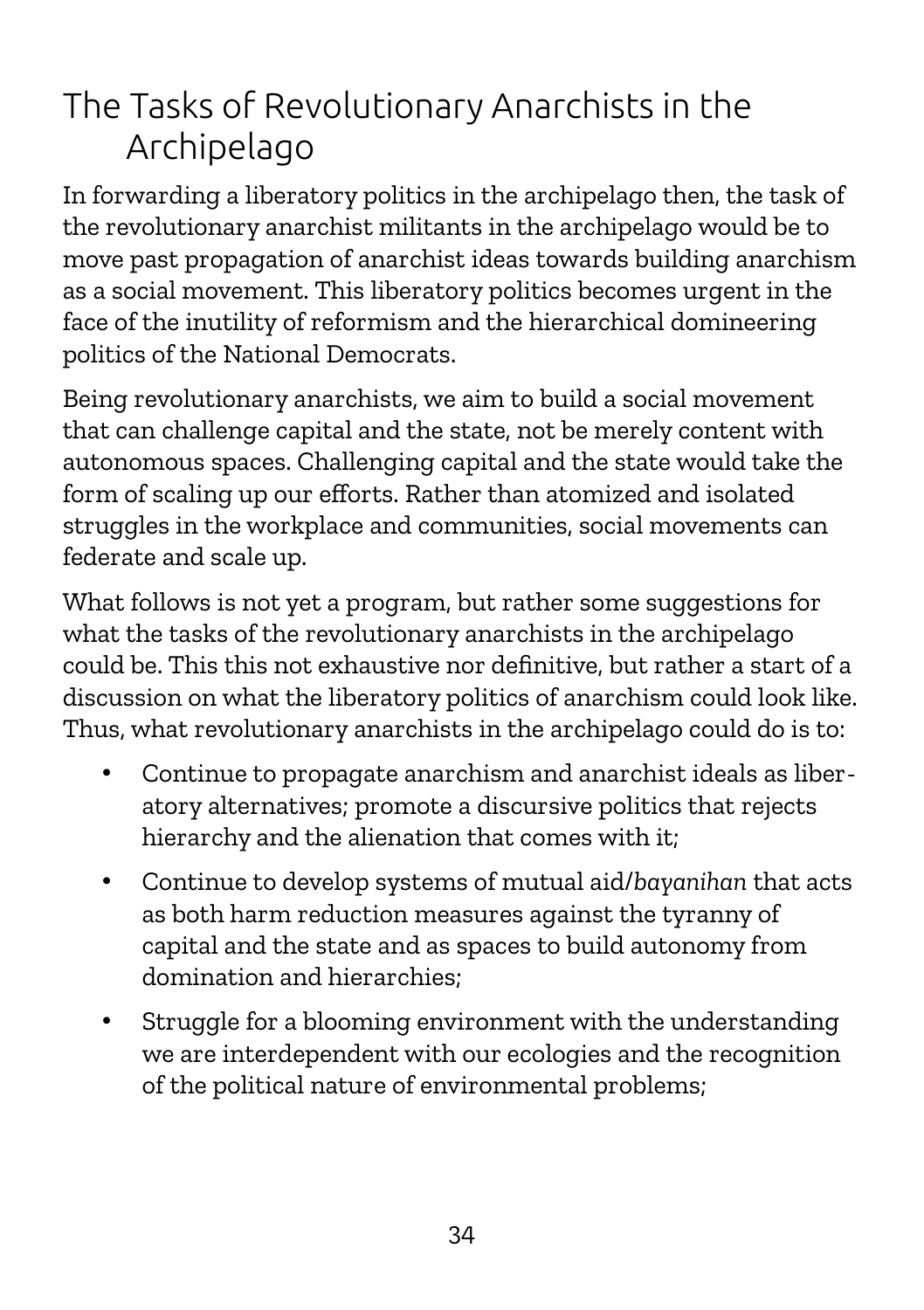#### The Tasks of Revolutionary Anarchists in the Archipelago

In forwarding a liberatory politics in the archipelago then, the task of the revolutionary anarchist militants in the archipelago would be to move past propagation of anarchist ideas towards building anarchism as a social movement. This liberatory politics becomes urgent in the face of the inutility of reformism and the hierarchical domineering politics of the National Democrats.

Being revolutionary anarchists, we aim to build a social movement that can challenge capital and the state, not be merely content with autonomous spaces. Challenging capital and the state would take the form of scaling up our efforts. Rather than atomized and isolated struggles in the workplace and communities, social movements can federate and scale up.

What follows is not yet a program, but rather some suggestions for what the tasks of the revolutionary anarchists in the archipelago could be. This this not exhaustive nor definitive, but rather a start of a discussion on what the liberatory politics of anarchism could look like. Thus, what revolutionary anarchists in the archipelago could do is to:

- Continue to propagate anarchism and anarchist ideals as liberatory alternatives; promote a discursive politics that rejects hierarchy and the alienation that comes with it;
- Continue to develop systems of mutual aid/*bayanihan* that acts as both harm reduction measures against the tyranny of capital and the state and as spaces to build autonomy from domination and hierarchies;
- Struggle for a blooming environment with the understanding we are interdependent with our ecologies and the recognition of the political nature of environmental problems;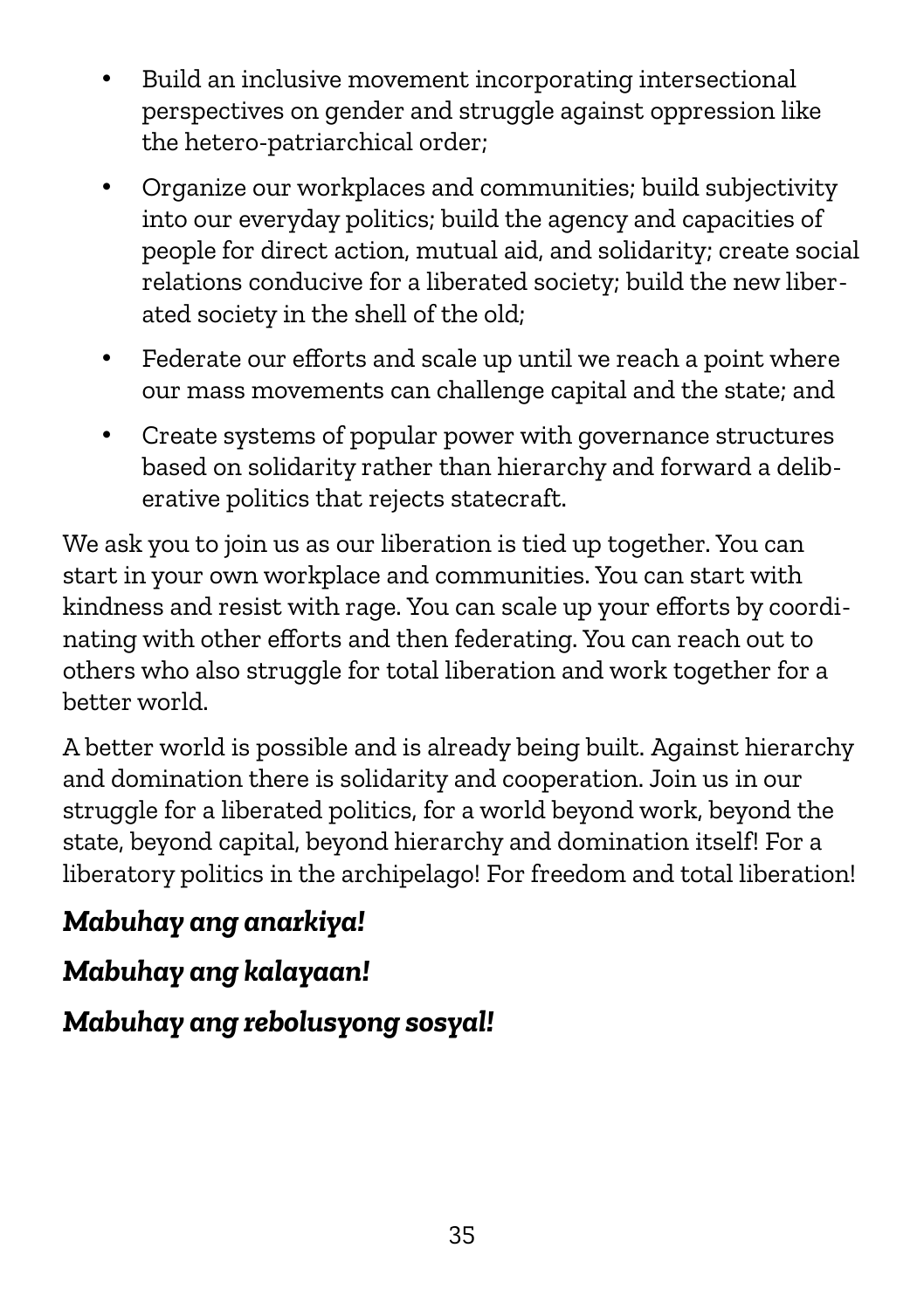- Build an inclusive movement incorporating intersectional perspectives on gender and struggle against oppression like the hetero-patriarchical order;
- Organize our workplaces and communities; build subjectivity into our everyday politics; build the agency and capacities of people for direct action, mutual aid, and solidarity; create social relations conducive for a liberated society; build the new liberated society in the shell of the old;
- Federate our efforts and scale up until we reach a point where our mass movements can challenge capital and the state; and
- Create systems of popular power with governance structures based on solidarity rather than hierarchy and forward a deliberative politics that rejects statecraft.

We ask you to join us as our liberation is tied up together. You can start in your own workplace and communities. You can start with kindness and resist with rage. You can scale up your efforts by coordinating with other efforts and then federating. You can reach out to others who also struggle for total liberation and work together for a better world.

A better world is possible and is already being built. Against hierarchy and domination there is solidarity and cooperation. Join us in our struggle for a liberated politics, for a world beyond work, beyond the state, beyond capital, beyond hierarchy and domination itself! For a liberatory politics in the archipelago! For freedom and total liberation!

#### *Mabuhay ang anarkiya!*

#### *Mabuhay ang kalayaan!*

#### *Mabuhay ang rebolusyong sosyal!*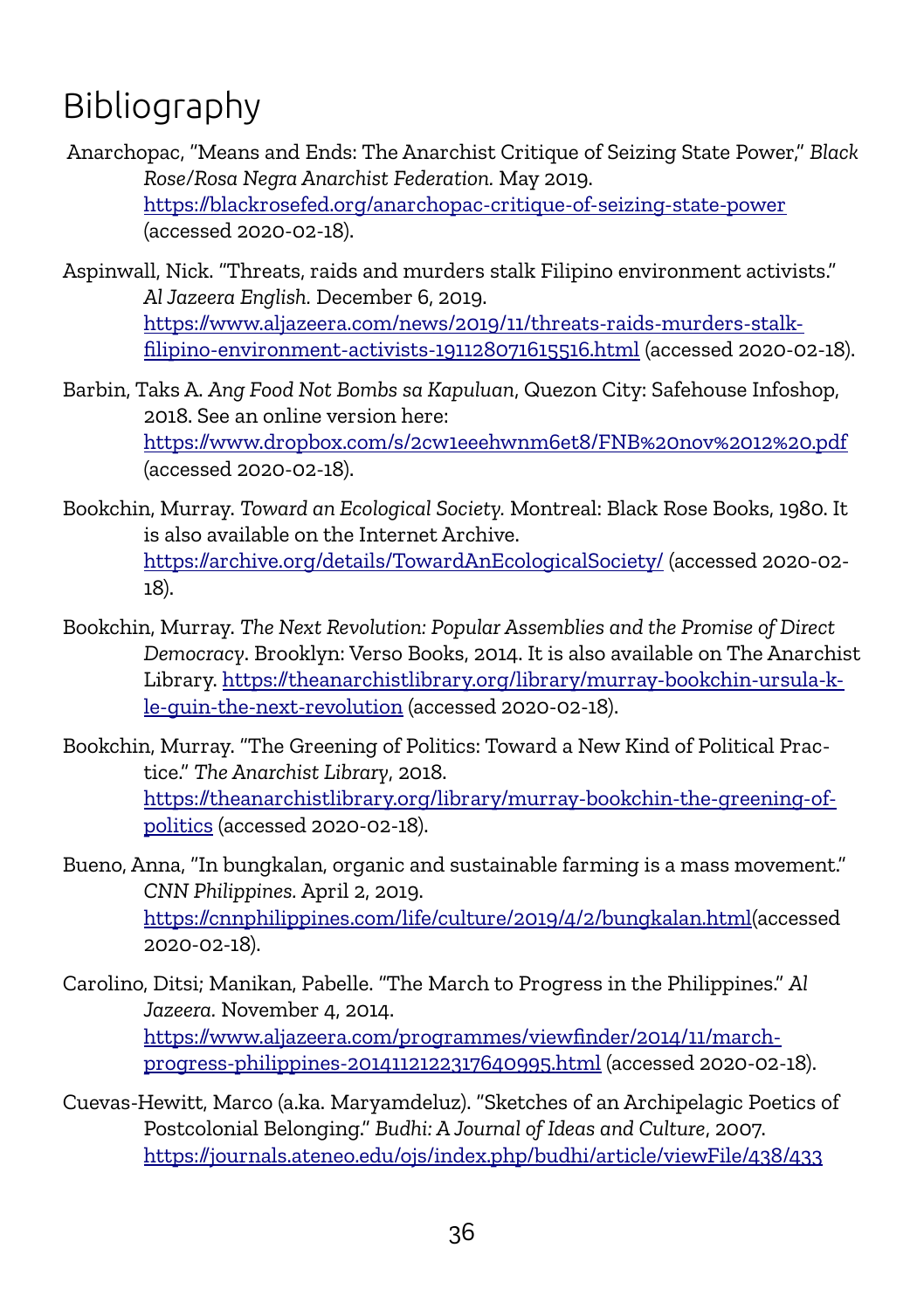### Bibliography

- Anarchopac, "Means and Ends: The Anarchist Critique of Seizing State Power," *Black Rose/Rosa Negra Anarchist Federation.* May 2019. <https://blackrosefed.org/anarchopac-critique-of-seizing-state-power> (accessed 2020-02-18).
- Aspinwall, Nick. "Threats, raids and murders stalk Filipino environment activists." *Al Jazeera English.* December 6, 2019. [https://www.aljazeera.com/news/2019/11/threats-raids-murders-stalk](https://www.aljazeera.com/news/2019/11/threats-raids-murders-stalk-filipino-environment-activists-191128071615516.html)[filipino-environment-activists-191128071615516.html](https://www.aljazeera.com/news/2019/11/threats-raids-murders-stalk-filipino-environment-activists-191128071615516.html) (accessed 2020-02-18).
- Barbin, Taks A. *Ang Food Not Bombs sa Kapuluan*, Quezon City: Safehouse Infoshop, 2018. See an online version here: <https://www.dropbox.com/s/2cw1eeehwnm6et8/FNB%20nov%2012%20.pdf> (accessed 2020-02-18).
- Bookchin, Murray. *Toward an Ecological Society.* Montreal: Black Rose Books, 1980. It is also available on the Internet Archive. <https://archive.org/details/TowardAnEcologicalSociety/>(accessed 2020-02- 18).
- Bookchin, Murray. *The Next Revolution: Popular Assemblies and the Promise of Direct Democracy*. Brooklyn: Verso Books, 2014. It is also available on The Anarchist Library. [https://theanarchistlibrary.org/library/murray-bookchin-ursula-k](https://theanarchistlibrary.org/library/murray-bookchin-ursula-k-le-guin-the-next-revolution)[le-guin-the-next-revolution](https://theanarchistlibrary.org/library/murray-bookchin-ursula-k-le-guin-the-next-revolution) (accessed 2020-02-18).
- Bookchin, Murray. "The Greening of Politics: Toward a New Kind of Political Practice." *The Anarchist Library*, 2018. [https://theanarchistlibrary.org/library/murray-bookchin-the-greening-of](https://theanarchistlibrary.org/library/murray-bookchin-the-greening-of-politics)[politics](https://theanarchistlibrary.org/library/murray-bookchin-the-greening-of-politics) (accessed 2020-02-18).
- Bueno, Anna, "In bungkalan, organic and sustainable farming is a mass movement." *CNN Philippines.* April 2, 2019. [https://cnnphilippines.com/life/culture/2019/4/2/bungkalan.html\(](https://cnnphilippines.com/life/culture/2019/4/2/bungkalan.html)accessed 2020-02-18).
- Carolino, Ditsi; Manikan, Pabelle. "The March to Progress in the Philippines." *Al Jazeera.* November 4, 2014. [https://www.aljazeera.com/programmes/viewfinder/2014/11/march](https://www.aljazeera.com/programmes/viewfinder/2014/11/march-progress-philippines-2014112122317640995.html)[progress-philippines-2014112122317640995.html](https://www.aljazeera.com/programmes/viewfinder/2014/11/march-progress-philippines-2014112122317640995.html) (accessed 2020-02-18).
- Cuevas-Hewitt, Marco (a.ka. Maryamdeluz). "Sketches of an Archipelagic Poetics of Postcolonial Belonging." *Budhi: A Journal of Ideas and Culture*, 2007. <https://journals.ateneo.edu/ojs/index.php/budhi/article/viewFile/438/433>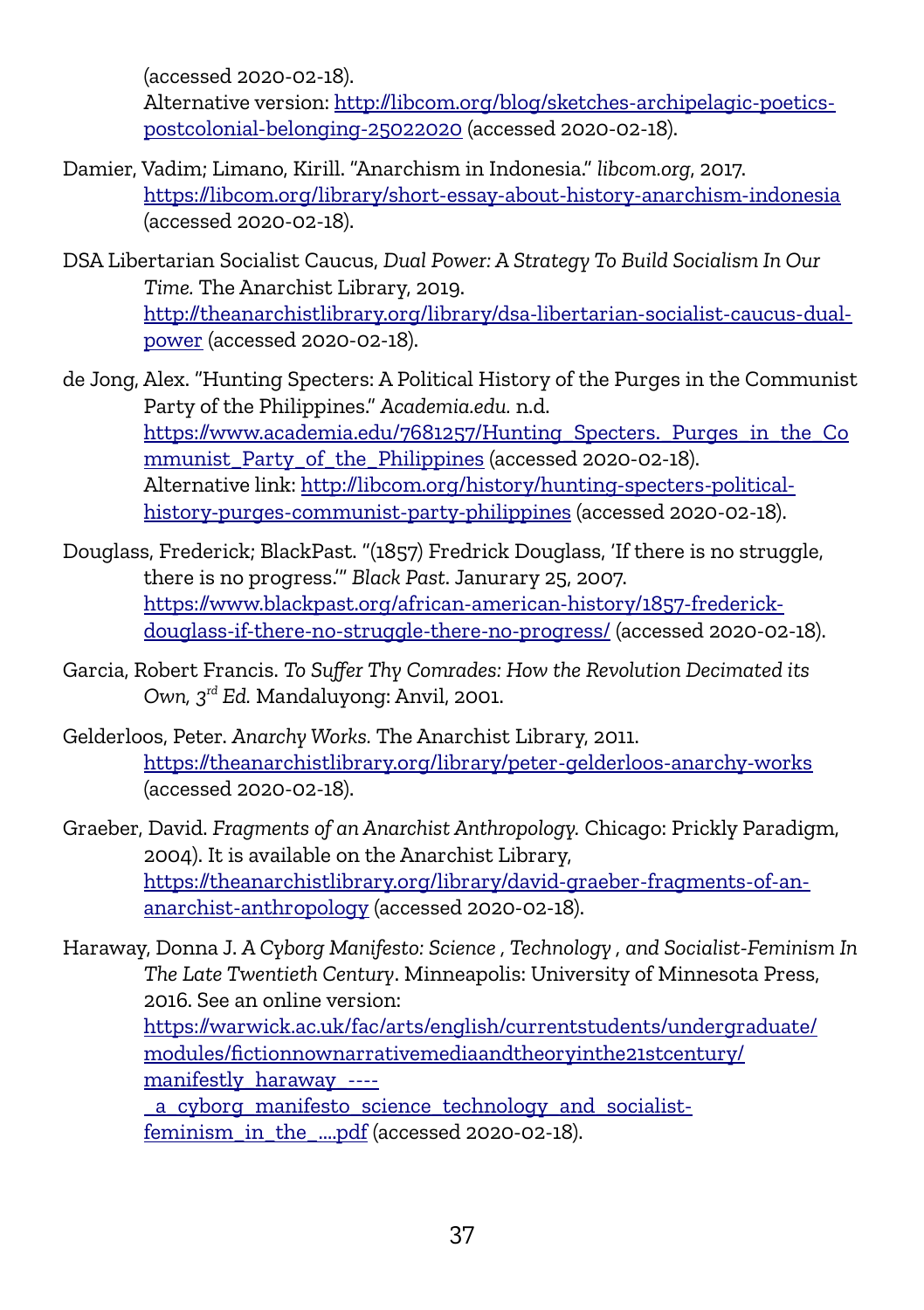(accessed 2020-02-18).

Alternative version: [http://libcom.org/blog/sketches-archipelagic-poetics](http://libcom.org/blog/sketches-archipelagic-poetics-postcolonial-belonging-25022020)[postcolonial-belonging-25022020](http://libcom.org/blog/sketches-archipelagic-poetics-postcolonial-belonging-25022020) (accessed 2020-02-18).

- Damier, Vadim; Limano, Kirill. "Anarchism in Indonesia." *libcom.org*, 2017. <https://libcom.org/library/short-essay-about-history-anarchism-indonesia> (accessed 2020-02-18).
- DSA Libertarian Socialist Caucus, *Dual Power: A Strategy To Build Socialism In Our Time.* The Anarchist Library, 2019. [http://theanarchistlibrary.org/library/dsa-libertarian-socialist-caucus-dual](http://theanarchistlibrary.org/library/dsa-libertarian-socialist-caucus-dual-power)[power](http://theanarchistlibrary.org/library/dsa-libertarian-socialist-caucus-dual-power) (accessed 2020-02-18).
- de Jong, Alex. "Hunting Specters: A Political History of the Purges in the Communist Party of the Philippines." *Academia.edu.* n.d. [https://www.academia.edu/7681257/Hunting\\_Specters.\\_Purges\\_in\\_the\\_Co](https://www.academia.edu/7681257/Hunting_Specters._Purges_in_the_Communist_Party_of_the_Philippines) mmunist Party of the Philippines (accessed 2020-02-18). Alternative link: [http://libcom.org/history/hunting-specters-political](http://libcom.org/history/hunting-specters-political-history-purges-communist-party-philippines)[history-purges-communist-party-philippines](http://libcom.org/history/hunting-specters-political-history-purges-communist-party-philippines) (accessed 2020-02-18).
- Douglass, Frederick; BlackPast. "(1857) Fredrick Douglass, 'If there is no struggle, there is no progress.'" *Black Past*. Janurary 25, 2007. [https://www.blackpast.org/african-american-history/1857-frederick](https://www.blackpast.org/african-american-history/1857-frederick-douglass-if-there-no-struggle-there-no-progress/)[douglass-if-there-no-struggle-there-no-progress/](https://www.blackpast.org/african-american-history/1857-frederick-douglass-if-there-no-struggle-there-no-progress/) (accessed 2020-02-18).
- Garcia, Robert Francis. *To Suffer Thy Comrades: How the Revolution Decimated its Own, 3rd Ed.* Mandaluyong: Anvil, 2001.
- Gelderloos, Peter. *Anarchy Works.* The Anarchist Library, 2011. <https://theanarchistlibrary.org/library/peter-gelderloos-anarchy-works> (accessed 2020-02-18).
- Graeber, David. *Fragments of an Anarchist Anthropology.* Chicago: Prickly Paradigm, 2004). It is available on the Anarchist Library, [https://theanarchistlibrary.org/library/david-graeber-fragments-of-an](https://theanarchistlibrary.org/library/david-graeber-fragments-of-an-anarchist-anthropology)[anarchist-anthropology](https://theanarchistlibrary.org/library/david-graeber-fragments-of-an-anarchist-anthropology) (accessed 2020-02-18).
- Haraway, Donna J. *A Cyborg Manifesto: Science , Technology , and Socialist-Feminism In The Late Twentieth Century*. Minneapolis: University of Minnesota Press, 2016. See an online version: [https://warwick.ac.uk/fac/arts/english/currentstudents/undergraduate/](https://warwick.ac.uk/fac/arts/english/currentstudents/undergraduate/modules/fictionnownarrativemediaandtheoryinthe21stcentury/manifestly_haraway_----_a_cyborg_manifesto_science_technology_and_socialist-feminism_in_the_....pdf) [modules/fictionnownarrativemediaandtheoryinthe21stcentury/](https://warwick.ac.uk/fac/arts/english/currentstudents/undergraduate/modules/fictionnownarrativemediaandtheoryinthe21stcentury/manifestly_haraway_----_a_cyborg_manifesto_science_technology_and_socialist-feminism_in_the_....pdf) [manifestly\\_haraway\\_----](https://warwick.ac.uk/fac/arts/english/currentstudents/undergraduate/modules/fictionnownarrativemediaandtheoryinthe21stcentury/manifestly_haraway_----_a_cyborg_manifesto_science_technology_and_socialist-feminism_in_the_....pdf) [\\_a\\_cyborg\\_manifesto\\_science\\_technology\\_and\\_socialist](https://warwick.ac.uk/fac/arts/english/currentstudents/undergraduate/modules/fictionnownarrativemediaandtheoryinthe21stcentury/manifestly_haraway_----_a_cyborg_manifesto_science_technology_and_socialist-feminism_in_the_....pdf)[feminism\\_in\\_the\\_....pdf](https://warwick.ac.uk/fac/arts/english/currentstudents/undergraduate/modules/fictionnownarrativemediaandtheoryinthe21stcentury/manifestly_haraway_----_a_cyborg_manifesto_science_technology_and_socialist-feminism_in_the_....pdf) (accessed 2020-02-18).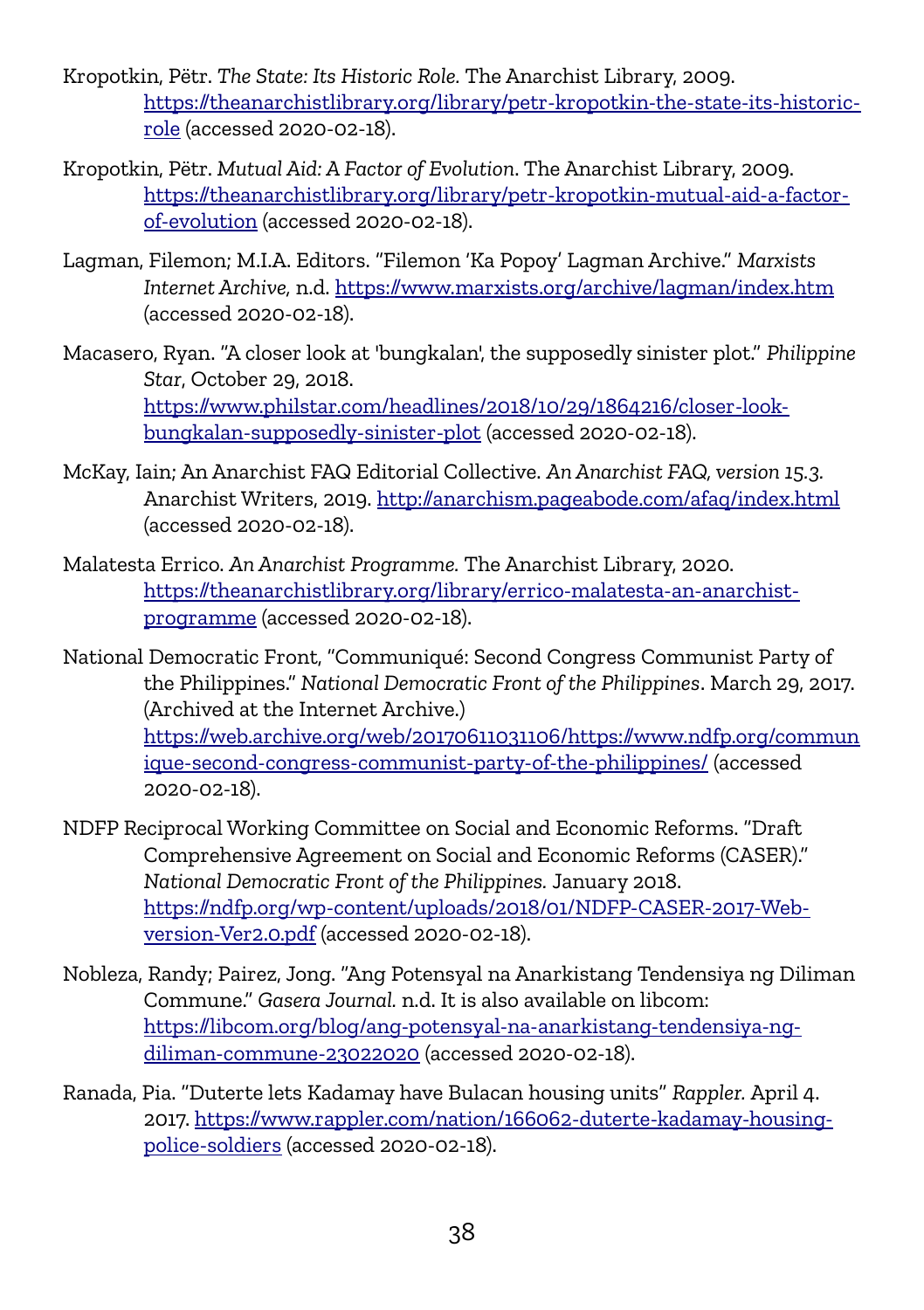- Kropotkin, Pëtr. *The State: Its Historic Role.* The Anarchist Library, 2009. [https://theanarchistlibrary.org/library/petr-kropotkin-the-state-its-historic](https://theanarchistlibrary.org/library/petr-kropotkin-the-state-its-historic-role)[role](https://theanarchistlibrary.org/library/petr-kropotkin-the-state-its-historic-role) (accessed 2020-02-18).
- Kropotkin, Pëtr. *Mutual Aid: A Factor of Evolution*. The Anarchist Library, 2009. [https://theanarchistlibrary.org/library/petr-kropotkin-mutual-aid-a-factor](https://theanarchistlibrary.org/library/petr-kropotkin-mutual-aid-a-factor-of-evolution)[of-evolution](https://theanarchistlibrary.org/library/petr-kropotkin-mutual-aid-a-factor-of-evolution) (accessed 2020-02-18).
- Lagman, Filemon; M.I.A. Editors. "Filemon 'Ka Popoy' Lagman Archive." *Marxists Internet Archive,* n.d.<https://www.marxists.org/archive/lagman/index.htm> (accessed 2020-02-18).
- Macasero, Ryan. "A closer look at 'bungkalan', the supposedly sinister plot." *Philippine Star*, October 29, 2018. [https://www.philstar.com/headlines/2018/10/29/1864216/closer-look](https://www.philstar.com/headlines/2018/10/29/1864216/closer-look-bungkalan-supposedly-sinister-plot)[bungkalan-supposedly-sinister-plot](https://www.philstar.com/headlines/2018/10/29/1864216/closer-look-bungkalan-supposedly-sinister-plot) (accessed 2020-02-18).
- McKay, Iain; An Anarchist FAQ Editorial Collective. *An Anarchist FAQ, version 15.3.*  Anarchist Writers, 2019.<http://anarchism.pageabode.com/afaq/index.html> (accessed 2020-02-18).
- Malatesta Errico. *An Anarchist Programme.* The Anarchist Library, 2020. [https://theanarchistlibrary.org/library/errico-malatesta-an-anarchist](https://theanarchistlibrary.org/library/errico-malatesta-an-anarchist-programme)[programme](https://theanarchistlibrary.org/library/errico-malatesta-an-anarchist-programme) (accessed 2020-02-18).

National Democratic Front, "Communiqué: Second Congress Communist Party of the Philippines." *National Democratic Front of the Philippines*. March 29, 2017. (Archived at the Internet Archive.) [https://web.archive.org/web/20170611031106/https://www.ndfp.org/commun](https://web.archive.org/web/20170611031106/https://www.ndfp.org/communique-second-congress-communist-party-of-the-philippines/) [ique-second-congress-communist-party-of-the-philippines/](https://web.archive.org/web/20170611031106/https://www.ndfp.org/communique-second-congress-communist-party-of-the-philippines/) (accessed 2020-02-18).

- NDFP Reciprocal Working Committee on Social and Economic Reforms. "Draft Comprehensive Agreement on Social and Economic Reforms (CASER)." *National Democratic Front of the Philippines.* January 2018. [https://ndfp.org/wp-content/uploads/2018/01/NDFP-CASER-2017-Web](https://ndfp.org/wp-content/uploads/2018/01/NDFP-CASER-2017-Web-version-Ver2.0.pdf)[version-Ver2.0.pdf](https://ndfp.org/wp-content/uploads/2018/01/NDFP-CASER-2017-Web-version-Ver2.0.pdf) (accessed 2020-02-18).
- Nobleza, Randy; Pairez, Jong. "Ang Potensyal na Anarkistang Tendensiya ng Diliman Commune." *Gasera Journal.* n.d. It is also available on libcom: [https://libcom.org/blog/ang-potensyal-na-anarkistang-tendensiya-ng](https://libcom.org/blog/ang-potensyal-na-anarkistang-tendensiya-ng-diliman-commune-23022020)[diliman-commune-23022020](https://libcom.org/blog/ang-potensyal-na-anarkistang-tendensiya-ng-diliman-commune-23022020) (accessed 2020-02-18).
- Ranada, Pia. "Duterte lets Kadamay have Bulacan housing units" *Rappler.* April 4. 2017. [https://www.rappler.com/nation/166062-duterte-kadamay-housing](https://www.rappler.com/nation/166062-duterte-kadamay-housing-police-soldiers)[police-soldiers](https://www.rappler.com/nation/166062-duterte-kadamay-housing-police-soldiers) (accessed 2020-02-18).